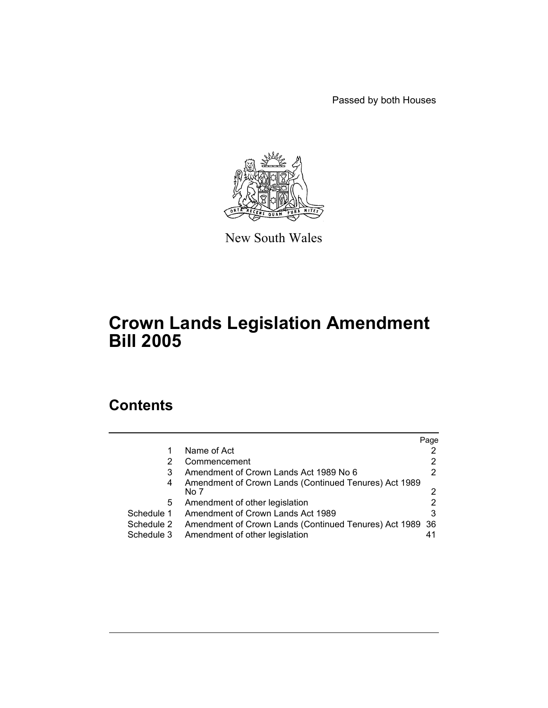Passed by both Houses



New South Wales

# **Crown Lands Legislation Amendment Bill 2005**

# **Contents**

|            |                                                          | Page |
|------------|----------------------------------------------------------|------|
|            | Name of Act                                              |      |
|            | Commencement                                             |      |
| 3          | Amendment of Crown Lands Act 1989 No 6                   |      |
| 4          | Amendment of Crown Lands (Continued Tenures) Act 1989    |      |
|            | No 7                                                     |      |
| 5          | Amendment of other legislation                           |      |
| Schedule 1 | Amendment of Crown Lands Act 1989                        | 3    |
| Schedule 2 | Amendment of Crown Lands (Continued Tenures) Act 1989 36 |      |
| Schedule 3 | Amendment of other legislation                           | 41   |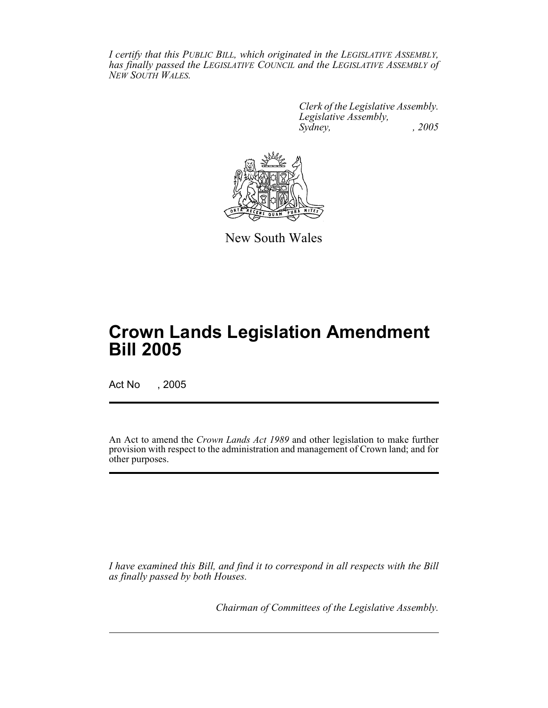*I certify that this PUBLIC BILL, which originated in the LEGISLATIVE ASSEMBLY, has finally passed the LEGISLATIVE COUNCIL and the LEGISLATIVE ASSEMBLY of NEW SOUTH WALES.*

> *Clerk of the Legislative Assembly. Legislative Assembly, Sydney, , 2005*



New South Wales

# **Crown Lands Legislation Amendment Bill 2005**

Act No , 2005

An Act to amend the *Crown Lands Act 1989* and other legislation to make further provision with respect to the administration and management of Crown land; and for other purposes.

*I have examined this Bill, and find it to correspond in all respects with the Bill as finally passed by both Houses.*

*Chairman of Committees of the Legislative Assembly.*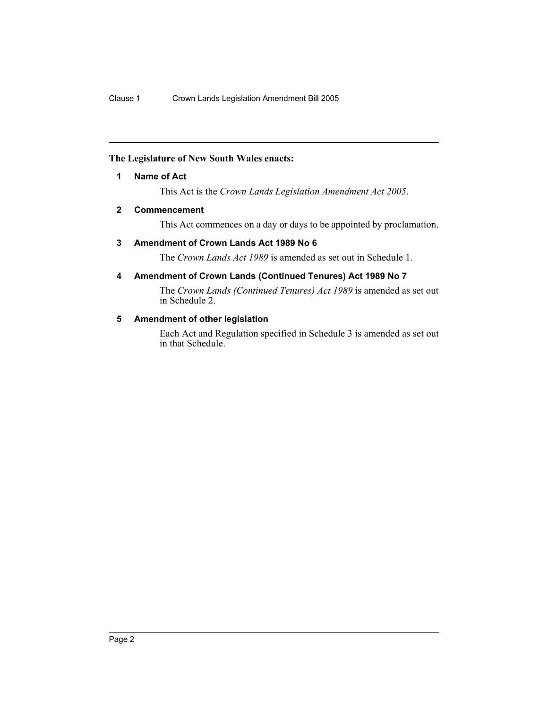# **The Legislature of New South Wales enacts:**

# **1 Name of Act**

This Act is the *Crown Lands Legislation Amendment Act 2005*.

### **2 Commencement**

This Act commences on a day or days to be appointed by proclamation.

### **3 Amendment of Crown Lands Act 1989 No 6**

The *Crown Lands Act 1989* is amended as set out in Schedule 1.

# **4 Amendment of Crown Lands (Continued Tenures) Act 1989 No 7**

The *Crown Lands (Continued Tenures) Act 1989* is amended as set out in Schedule 2.

### **5 Amendment of other legislation**

Each Act and Regulation specified in Schedule 3 is amended as set out in that Schedule.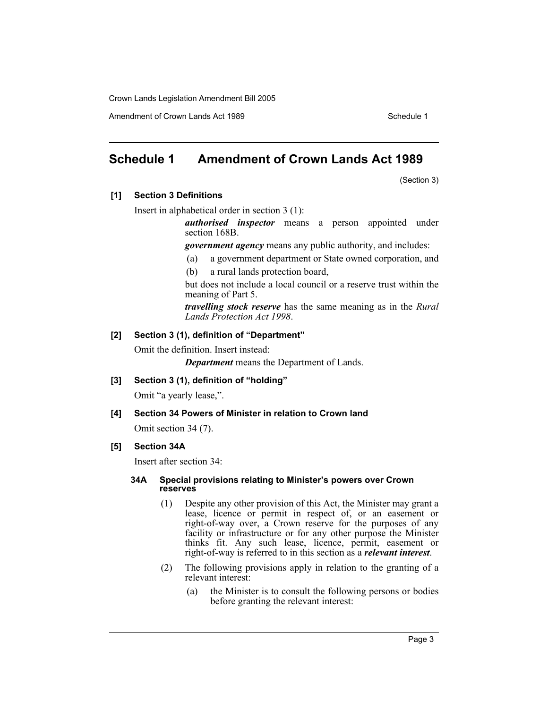Amendment of Crown Lands Act 1989 Schedule 1

# **Schedule 1 Amendment of Crown Lands Act 1989**

(Section 3)

# **[1] Section 3 Definitions**

Insert in alphabetical order in section 3 (1):

*authorised inspector* means a person appointed under section 168B.

*government agency* means any public authority, and includes:

- (a) a government department or State owned corporation, and
- (b) a rural lands protection board,

but does not include a local council or a reserve trust within the meaning of Part 5.

*travelling stock reserve* has the same meaning as in the *Rural Lands Protection Act 1998*.

### **[2] Section 3 (1), definition of "Department"**

Omit the definition. Insert instead:

*Department* means the Department of Lands.

**[3] Section 3 (1), definition of "holding"**

Omit "a yearly lease,".

#### **[4] Section 34 Powers of Minister in relation to Crown land**

Omit section 34 (7).

# **[5] Section 34A**

Insert after section 34:

#### **34A Special provisions relating to Minister's powers over Crown reserves**

- (1) Despite any other provision of this Act, the Minister may grant a lease, licence or permit in respect of, or an easement or right-of-way over, a Crown reserve for the purposes of any facility or infrastructure or for any other purpose the Minister thinks fit. Any such lease, licence, permit, easement or right-of-way is referred to in this section as a *relevant interest*.
- (2) The following provisions apply in relation to the granting of a relevant interest:
	- (a) the Minister is to consult the following persons or bodies before granting the relevant interest: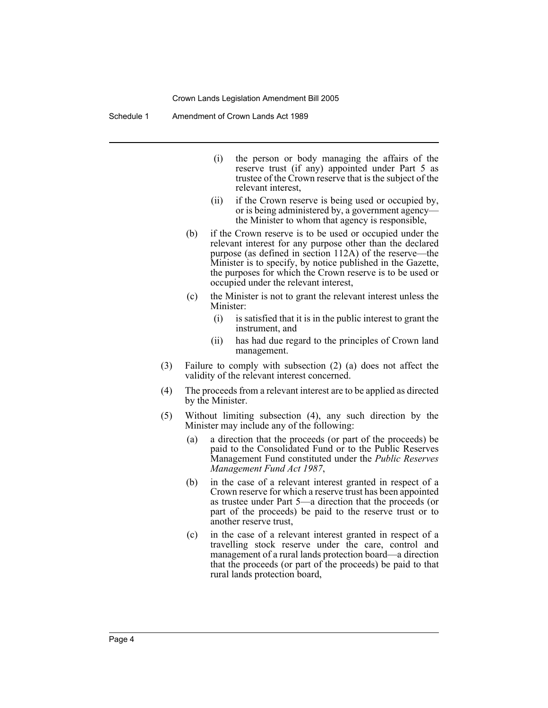Schedule 1 Amendment of Crown Lands Act 1989

- (i) the person or body managing the affairs of the reserve trust (if any) appointed under Part 5 as trustee of the Crown reserve that is the subject of the relevant interest,
- (ii) if the Crown reserve is being used or occupied by, or is being administered by, a government agency the Minister to whom that agency is responsible,
- (b) if the Crown reserve is to be used or occupied under the relevant interest for any purpose other than the declared purpose (as defined in section 112A) of the reserve—the Minister is to specify, by notice published in the Gazette, the purposes for which the Crown reserve is to be used or occupied under the relevant interest,
- (c) the Minister is not to grant the relevant interest unless the Minister:
	- (i) is satisfied that it is in the public interest to grant the instrument, and
	- (ii) has had due regard to the principles of Crown land management.
- (3) Failure to comply with subsection (2) (a) does not affect the validity of the relevant interest concerned.
- (4) The proceeds from a relevant interest are to be applied as directed by the Minister.
- (5) Without limiting subsection (4), any such direction by the Minister may include any of the following:
	- (a) a direction that the proceeds (or part of the proceeds) be paid to the Consolidated Fund or to the Public Reserves Management Fund constituted under the *Public Reserves Management Fund Act 1987*,
	- (b) in the case of a relevant interest granted in respect of a Crown reserve for which a reserve trust has been appointed as trustee under Part 5—a direction that the proceeds (or part of the proceeds) be paid to the reserve trust or to another reserve trust,
	- (c) in the case of a relevant interest granted in respect of a travelling stock reserve under the care, control and management of a rural lands protection board—a direction that the proceeds (or part of the proceeds) be paid to that rural lands protection board,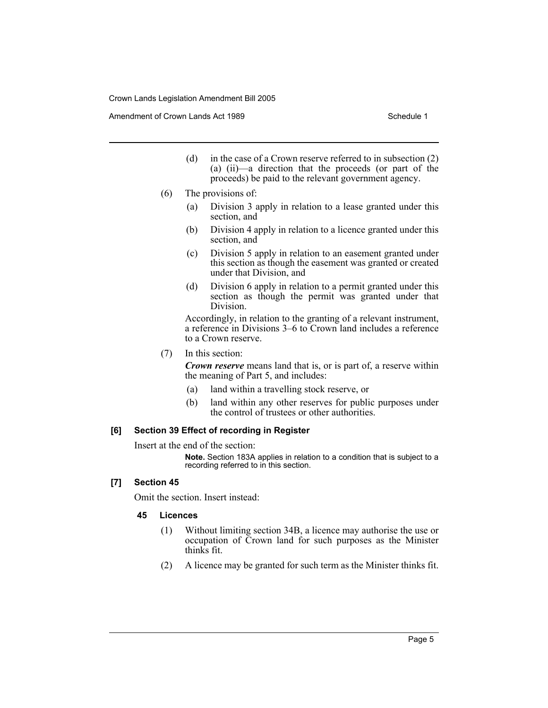Amendment of Crown Lands Act 1989 Schedule 1

- (d) in the case of a Crown reserve referred to in subsection (2) (a) (ii)—a direction that the proceeds (or part of the proceeds) be paid to the relevant government agency.
- (6) The provisions of:
	- (a) Division 3 apply in relation to a lease granted under this section, and
	- (b) Division 4 apply in relation to a licence granted under this section, and
	- (c) Division 5 apply in relation to an easement granted under this section as though the easement was granted or created under that Division, and
	- (d) Division 6 apply in relation to a permit granted under this section as though the permit was granted under that Division.

Accordingly, in relation to the granting of a relevant instrument, a reference in Divisions 3–6 to Crown land includes a reference to a Crown reserve.

(7) In this section:

*Crown reserve* means land that is, or is part of, a reserve within the meaning of Part 5, and includes:

- (a) land within a travelling stock reserve, or
- (b) land within any other reserves for public purposes under the control of trustees or other authorities.

#### **[6] Section 39 Effect of recording in Register**

Insert at the end of the section:

**Note.** Section 183A applies in relation to a condition that is subject to a recording referred to in this section.

### **[7] Section 45**

Omit the section. Insert instead:

#### **45 Licences**

- (1) Without limiting section 34B, a licence may authorise the use or occupation of Crown land for such purposes as the Minister thinks fit.
- (2) A licence may be granted for such term as the Minister thinks fit.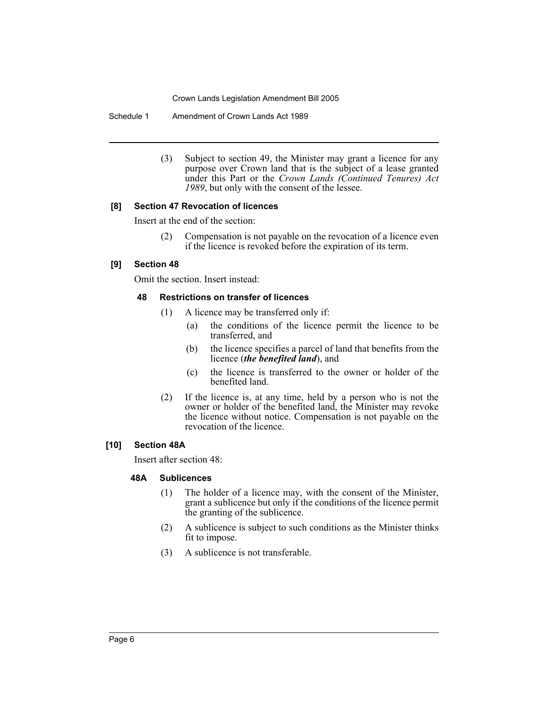Schedule 1 Amendment of Crown Lands Act 1989

(3) Subject to section 49, the Minister may grant a licence for any purpose over Crown land that is the subject of a lease granted under this Part or the *Crown Lands (Continued Tenures) Act 1989*, but only with the consent of the lessee.

#### **[8] Section 47 Revocation of licences**

Insert at the end of the section:

(2) Compensation is not payable on the revocation of a licence even if the licence is revoked before the expiration of its term.

#### **[9] Section 48**

Omit the section. Insert instead:

#### **48 Restrictions on transfer of licences**

- (1) A licence may be transferred only if:
	- (a) the conditions of the licence permit the licence to be transferred, and
	- (b) the licence specifies a parcel of land that benefits from the licence (*the benefited land*), and
	- (c) the licence is transferred to the owner or holder of the benefited land.
- (2) If the licence is, at any time, held by a person who is not the owner or holder of the benefited land, the Minister may revoke the licence without notice. Compensation is not payable on the revocation of the licence.

# **[10] Section 48A**

Insert after section 48:

#### **48A Sublicences**

- (1) The holder of a licence may, with the consent of the Minister, grant a sublicence but only if the conditions of the licence permit the granting of the sublicence.
- (2) A sublicence is subject to such conditions as the Minister thinks fit to impose.
- (3) A sublicence is not transferable.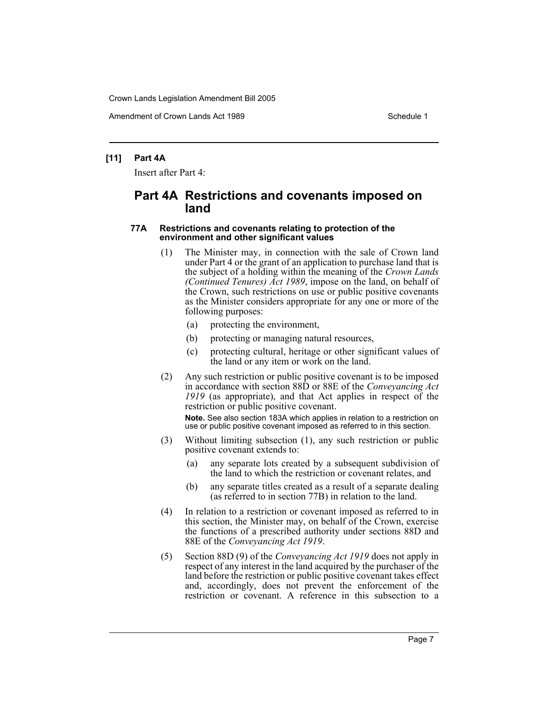Amendment of Crown Lands Act 1989 Schedule 1

#### **[11] Part 4A**

Insert after Part 4:

# **Part 4A Restrictions and covenants imposed on land**

#### **77A Restrictions and covenants relating to protection of the environment and other significant values**

- (1) The Minister may, in connection with the sale of Crown land under Part 4 or the grant of an application to purchase land that is the subject of a holding within the meaning of the *Crown Lands (Continued Tenures) Act 1989*, impose on the land, on behalf of the Crown, such restrictions on use or public positive covenants as the Minister considers appropriate for any one or more of the following purposes:
	- (a) protecting the environment,
	- (b) protecting or managing natural resources,
	- (c) protecting cultural, heritage or other significant values of the land or any item or work on the land.
- (2) Any such restriction or public positive covenant is to be imposed in accordance with section 88D or 88E of the *Conveyancing Act 1919* (as appropriate), and that Act applies in respect of the restriction or public positive covenant.

**Note.** See also section 183A which applies in relation to a restriction on use or public positive covenant imposed as referred to in this section.

- (3) Without limiting subsection (1), any such restriction or public positive covenant extends to:
	- (a) any separate lots created by a subsequent subdivision of the land to which the restriction or covenant relates, and
	- (b) any separate titles created as a result of a separate dealing (as referred to in section 77B) in relation to the land.
- (4) In relation to a restriction or covenant imposed as referred to in this section, the Minister may, on behalf of the Crown, exercise the functions of a prescribed authority under sections 88D and 88E of the *Conveyancing Act 1919*.
- (5) Section 88D (9) of the *Conveyancing Act 1919* does not apply in respect of any interest in the land acquired by the purchaser of the land before the restriction or public positive covenant takes effect and, accordingly, does not prevent the enforcement of the restriction or covenant. A reference in this subsection to a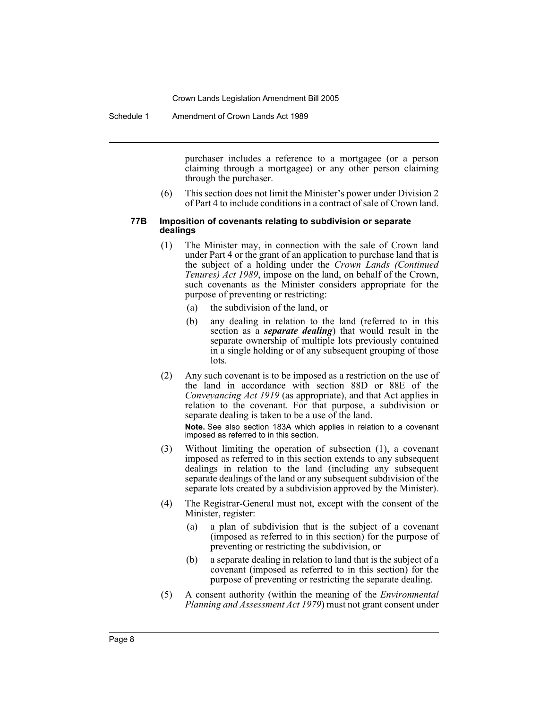Schedule 1 Amendment of Crown Lands Act 1989

purchaser includes a reference to a mortgagee (or a person claiming through a mortgagee) or any other person claiming through the purchaser.

(6) This section does not limit the Minister's power under Division 2 of Part 4 to include conditions in a contract of sale of Crown land.

#### **77B Imposition of covenants relating to subdivision or separate dealings**

- (1) The Minister may, in connection with the sale of Crown land under Part 4 or the grant of an application to purchase land that is the subject of a holding under the *Crown Lands (Continued Tenures) Act 1989*, impose on the land, on behalf of the Crown, such covenants as the Minister considers appropriate for the purpose of preventing or restricting:
	- (a) the subdivision of the land, or
	- (b) any dealing in relation to the land (referred to in this section as a *separate dealing*) that would result in the separate ownership of multiple lots previously contained in a single holding or of any subsequent grouping of those lots.
- (2) Any such covenant is to be imposed as a restriction on the use of the land in accordance with section 88D or 88E of the *Conveyancing Act 1919* (as appropriate), and that Act applies in relation to the covenant. For that purpose, a subdivision or separate dealing is taken to be a use of the land. **Note.** See also section 183A which applies in relation to a covenant imposed as referred to in this section.
- (3) Without limiting the operation of subsection (1), a covenant imposed as referred to in this section extends to any subsequent dealings in relation to the land (including any subsequent separate dealings of the land or any subsequent subdivision of the separate lots created by a subdivision approved by the Minister).
- (4) The Registrar-General must not, except with the consent of the Minister, register:
	- (a) a plan of subdivision that is the subject of a covenant (imposed as referred to in this section) for the purpose of preventing or restricting the subdivision, or
	- (b) a separate dealing in relation to land that is the subject of a covenant (imposed as referred to in this section) for the purpose of preventing or restricting the separate dealing.
- (5) A consent authority (within the meaning of the *Environmental Planning and Assessment Act 1979*) must not grant consent under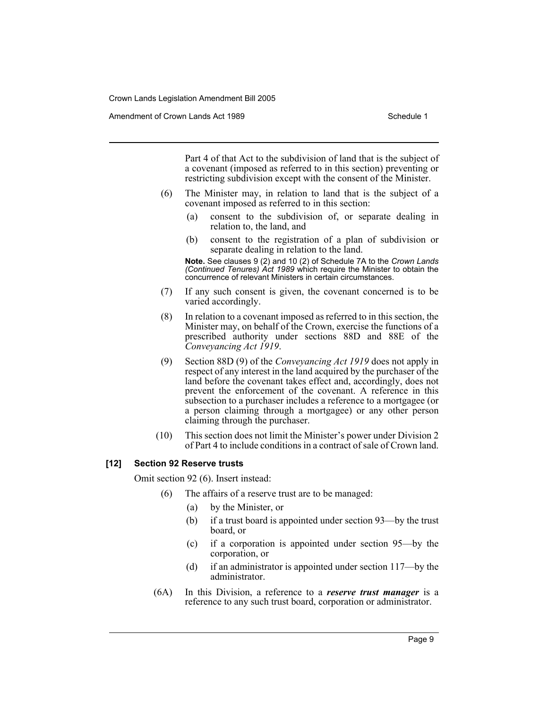Amendment of Crown Lands Act 1989 Schedule 1

Part 4 of that Act to the subdivision of land that is the subject of a covenant (imposed as referred to in this section) preventing or restricting subdivision except with the consent of the Minister.

- (6) The Minister may, in relation to land that is the subject of a covenant imposed as referred to in this section:
	- (a) consent to the subdivision of, or separate dealing in relation to, the land, and
	- (b) consent to the registration of a plan of subdivision or separate dealing in relation to the land.

**Note.** See clauses 9 (2) and 10 (2) of Schedule 7A to the *Crown Lands (Continued Tenures) Act 1989* which require the Minister to obtain the concurrence of relevant Ministers in certain circumstances.

- (7) If any such consent is given, the covenant concerned is to be varied accordingly.
- (8) In relation to a covenant imposed as referred to in this section, the Minister may, on behalf of the Crown, exercise the functions of a prescribed authority under sections 88D and 88E of the *Conveyancing Act 1919*.
- (9) Section 88D (9) of the *Conveyancing Act 1919* does not apply in respect of any interest in the land acquired by the purchaser of the land before the covenant takes effect and, accordingly, does not prevent the enforcement of the covenant. A reference in this subsection to a purchaser includes a reference to a mortgagee (or a person claiming through a mortgagee) or any other person claiming through the purchaser.
- (10) This section does not limit the Minister's power under Division 2 of Part 4 to include conditions in a contract of sale of Crown land.

#### **[12] Section 92 Reserve trusts**

Omit section 92 (6). Insert instead:

- (6) The affairs of a reserve trust are to be managed:
	- (a) by the Minister, or
	- (b) if a trust board is appointed under section 93—by the trust board, or
	- (c) if a corporation is appointed under section 95—by the corporation, or
	- (d) if an administrator is appointed under section 117—by the administrator.
- (6A) In this Division, a reference to a *reserve trust manager* is a reference to any such trust board, corporation or administrator.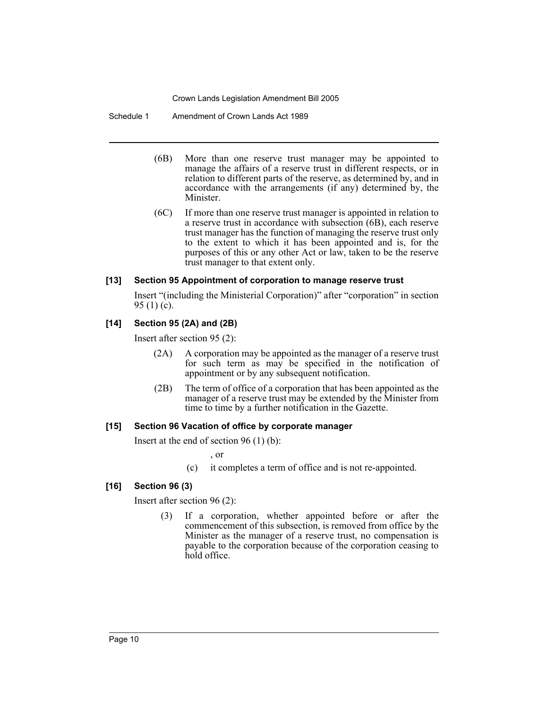Schedule 1 Amendment of Crown Lands Act 1989

- (6B) More than one reserve trust manager may be appointed to manage the affairs of a reserve trust in different respects, or in relation to different parts of the reserve, as determined by, and in accordance with the arrangements (if any) determined by, the Minister.
- (6C) If more than one reserve trust manager is appointed in relation to a reserve trust in accordance with subsection (6B), each reserve trust manager has the function of managing the reserve trust only to the extent to which it has been appointed and is, for the purposes of this or any other Act or law, taken to be the reserve trust manager to that extent only.

### **[13] Section 95 Appointment of corporation to manage reserve trust**

Insert "(including the Ministerial Corporation)" after "corporation" in section 95 (1) (c).

# **[14] Section 95 (2A) and (2B)**

Insert after section 95 (2):

- (2A) A corporation may be appointed as the manager of a reserve trust for such term as may be specified in the notification of appointment or by any subsequent notification.
- (2B) The term of office of a corporation that has been appointed as the manager of a reserve trust may be extended by the Minister from time to time by a further notification in the Gazette.

#### **[15] Section 96 Vacation of office by corporate manager**

Insert at the end of section 96 (1) (b):

, or

(c) it completes a term of office and is not re-appointed.

#### **[16] Section 96 (3)**

Insert after section 96 (2):

(3) If a corporation, whether appointed before or after the commencement of this subsection, is removed from office by the Minister as the manager of a reserve trust, no compensation is payable to the corporation because of the corporation ceasing to hold office.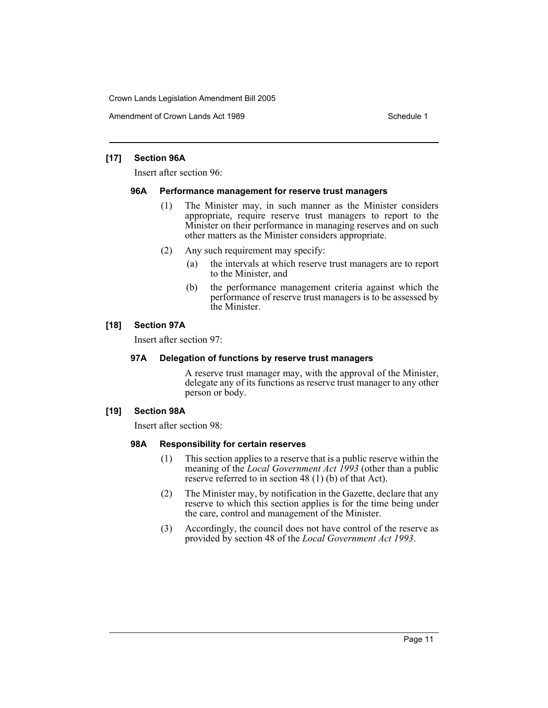Amendment of Crown Lands Act 1989 Schedule 1

#### **[17] Section 96A**

Insert after section 96:

#### **96A Performance management for reserve trust managers**

- (1) The Minister may, in such manner as the Minister considers appropriate, require reserve trust managers to report to the Minister on their performance in managing reserves and on such other matters as the Minister considers appropriate.
- (2) Any such requirement may specify:
	- (a) the intervals at which reserve trust managers are to report to the Minister, and
	- (b) the performance management criteria against which the performance of reserve trust managers is to be assessed by the Minister.

# **[18] Section 97A**

Insert after section 97:

# **97A Delegation of functions by reserve trust managers**

A reserve trust manager may, with the approval of the Minister, delegate any of its functions as reserve trust manager to any other person or body.

#### **[19] Section 98A**

Insert after section 98:

#### **98A Responsibility for certain reserves**

- (1) This section applies to a reserve that is a public reserve within the meaning of the *Local Government Act 1993* (other than a public reserve referred to in section 48 (1) (b) of that Act).
- (2) The Minister may, by notification in the Gazette, declare that any reserve to which this section applies is for the time being under the care, control and management of the Minister.
- (3) Accordingly, the council does not have control of the reserve as provided by section 48 of the *Local Government Act 1993*.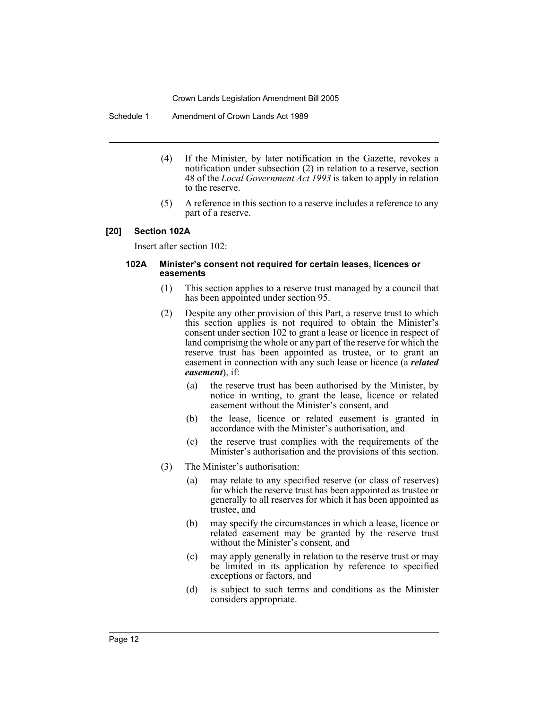Schedule 1 Amendment of Crown Lands Act 1989

- (4) If the Minister, by later notification in the Gazette, revokes a notification under subsection (2) in relation to a reserve, section 48 of the *Local Government Act 1993* is taken to apply in relation to the reserve.
- (5) A reference in this section to a reserve includes a reference to any part of a reserve.

#### **[20] Section 102A**

Insert after section 102:

#### **102A Minister's consent not required for certain leases, licences or easements**

- (1) This section applies to a reserve trust managed by a council that has been appointed under section 95.
- (2) Despite any other provision of this Part, a reserve trust to which this section applies is not required to obtain the Minister's consent under section 102 to grant a lease or licence in respect of land comprising the whole or any part of the reserve for which the reserve trust has been appointed as trustee, or to grant an easement in connection with any such lease or licence (a *related easement*), if:
	- (a) the reserve trust has been authorised by the Minister, by notice in writing, to grant the lease, licence or related easement without the Minister's consent, and
	- (b) the lease, licence or related easement is granted in accordance with the Minister's authorisation, and
	- (c) the reserve trust complies with the requirements of the Minister's authorisation and the provisions of this section.
- (3) The Minister's authorisation:
	- (a) may relate to any specified reserve (or class of reserves) for which the reserve trust has been appointed as trustee or generally to all reserves for which it has been appointed as trustee, and
	- (b) may specify the circumstances in which a lease, licence or related easement may be granted by the reserve trust without the Minister's consent, and
	- (c) may apply generally in relation to the reserve trust or may be limited in its application by reference to specified exceptions or factors, and
	- (d) is subject to such terms and conditions as the Minister considers appropriate.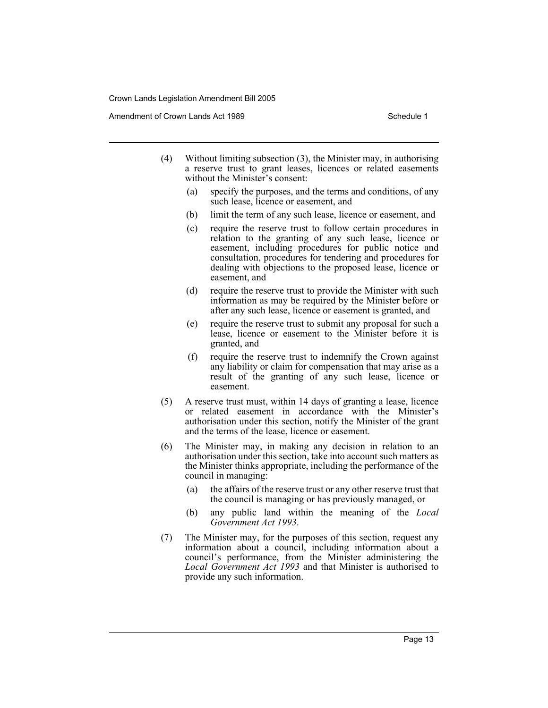Amendment of Crown Lands Act 1989 Schedule 1

- (4) Without limiting subsection (3), the Minister may, in authorising a reserve trust to grant leases, licences or related easements without the Minister's consent:
	- (a) specify the purposes, and the terms and conditions, of any such lease, licence or easement, and
	- (b) limit the term of any such lease, licence or easement, and
	- (c) require the reserve trust to follow certain procedures in relation to the granting of any such lease, licence or easement, including procedures for public notice and consultation, procedures for tendering and procedures for dealing with objections to the proposed lease, licence or easement, and
	- (d) require the reserve trust to provide the Minister with such information as may be required by the Minister before or after any such lease, licence or easement is granted, and
	- (e) require the reserve trust to submit any proposal for such a lease, licence or easement to the Minister before it is granted, and
	- (f) require the reserve trust to indemnify the Crown against any liability or claim for compensation that may arise as a result of the granting of any such lease, licence or easement.
- (5) A reserve trust must, within 14 days of granting a lease, licence or related easement in accordance with the Minister's authorisation under this section, notify the Minister of the grant and the terms of the lease, licence or easement.
- (6) The Minister may, in making any decision in relation to an authorisation under this section, take into account such matters as the Minister thinks appropriate, including the performance of the council in managing:
	- (a) the affairs of the reserve trust or any other reserve trust that the council is managing or has previously managed, or
	- (b) any public land within the meaning of the *Local Government Act 1993*.
- (7) The Minister may, for the purposes of this section, request any information about a council, including information about a council's performance, from the Minister administering the *Local Government Act 1993* and that Minister is authorised to provide any such information.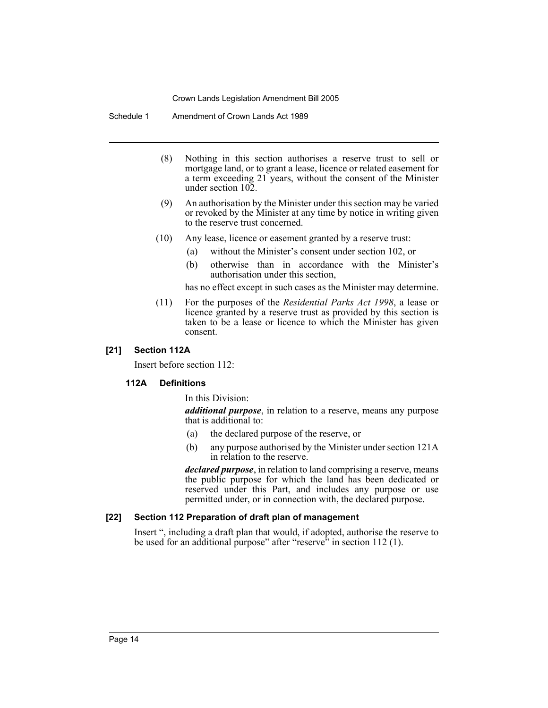Schedule 1 Amendment of Crown Lands Act 1989

- (8) Nothing in this section authorises a reserve trust to sell or mortgage land, or to grant a lease, licence or related easement for a term exceeding 21 years, without the consent of the Minister under section 102.
- (9) An authorisation by the Minister under this section may be varied or revoked by the Minister at any time by notice in writing given to the reserve trust concerned.
- (10) Any lease, licence or easement granted by a reserve trust:
	- (a) without the Minister's consent under section 102, or
	- (b) otherwise than in accordance with the Minister's authorisation under this section,

has no effect except in such cases as the Minister may determine.

(11) For the purposes of the *Residential Parks Act 1998*, a lease or licence granted by a reserve trust as provided by this section is taken to be a lease or licence to which the Minister has given consent.

#### **[21] Section 112A**

Insert before section 112:

### **112A Definitions**

#### In this Division:

*additional purpose*, in relation to a reserve, means any purpose that is additional to:

- (a) the declared purpose of the reserve, or
- (b) any purpose authorised by the Minister under section 121A in relation to the reserve.

*declared purpose*, in relation to land comprising a reserve, means the public purpose for which the land has been dedicated or reserved under this Part, and includes any purpose or use permitted under, or in connection with, the declared purpose.

#### **[22] Section 112 Preparation of draft plan of management**

Insert ", including a draft plan that would, if adopted, authorise the reserve to be used for an additional purpose" after "reserve" in section  $112$  (1).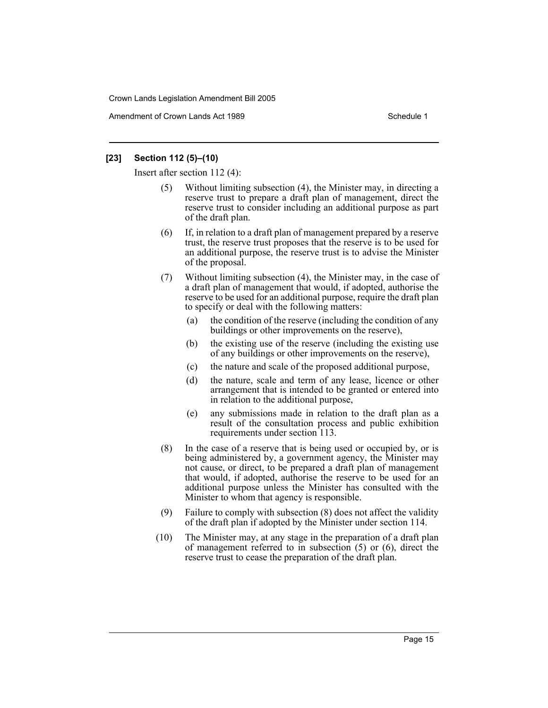Amendment of Crown Lands Act 1989 Schedule 1

#### **[23] Section 112 (5)–(10)**

Insert after section 112 (4):

- (5) Without limiting subsection (4), the Minister may, in directing a reserve trust to prepare a draft plan of management, direct the reserve trust to consider including an additional purpose as part of the draft plan.
- (6) If, in relation to a draft plan of management prepared by a reserve trust, the reserve trust proposes that the reserve is to be used for an additional purpose, the reserve trust is to advise the Minister of the proposal.
- (7) Without limiting subsection (4), the Minister may, in the case of a draft plan of management that would, if adopted, authorise the reserve to be used for an additional purpose, require the draft plan to specify or deal with the following matters:
	- (a) the condition of the reserve (including the condition of any buildings or other improvements on the reserve),
	- (b) the existing use of the reserve (including the existing use of any buildings or other improvements on the reserve),
	- (c) the nature and scale of the proposed additional purpose,
	- (d) the nature, scale and term of any lease, licence or other arrangement that is intended to be granted or entered into in relation to the additional purpose,
	- (e) any submissions made in relation to the draft plan as a result of the consultation process and public exhibition requirements under section 113.
- (8) In the case of a reserve that is being used or occupied by, or is being administered by, a government agency, the Minister may not cause, or direct, to be prepared a draft plan of management that would, if adopted, authorise the reserve to be used for an additional purpose unless the Minister has consulted with the Minister to whom that agency is responsible.
- (9) Failure to comply with subsection (8) does not affect the validity of the draft plan if adopted by the Minister under section 114.
- (10) The Minister may, at any stage in the preparation of a draft plan of management referred to in subsection (5) or (6), direct the reserve trust to cease the preparation of the draft plan.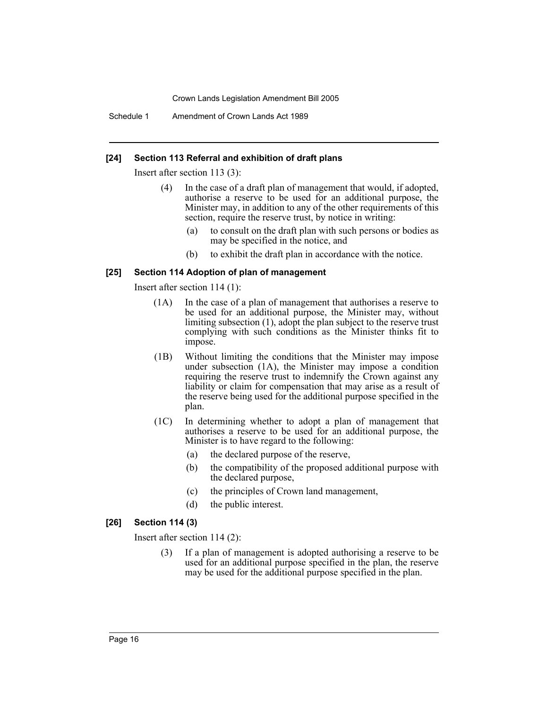Schedule 1 Amendment of Crown Lands Act 1989

#### **[24] Section 113 Referral and exhibition of draft plans**

Insert after section 113 (3):

- (4) In the case of a draft plan of management that would, if adopted, authorise a reserve to be used for an additional purpose, the Minister may, in addition to any of the other requirements of this section, require the reserve trust, by notice in writing:
	- (a) to consult on the draft plan with such persons or bodies as may be specified in the notice, and
	- (b) to exhibit the draft plan in accordance with the notice.

### **[25] Section 114 Adoption of plan of management**

Insert after section 114 (1):

- (1A) In the case of a plan of management that authorises a reserve to be used for an additional purpose, the Minister may, without limiting subsection (1), adopt the plan subject to the reserve trust complying with such conditions as the Minister thinks fit to impose.
- (1B) Without limiting the conditions that the Minister may impose under subsection (1A), the Minister may impose a condition requiring the reserve trust to indemnify the Crown against any liability or claim for compensation that may arise as a result of the reserve being used for the additional purpose specified in the plan.
- (1C) In determining whether to adopt a plan of management that authorises a reserve to be used for an additional purpose, the Minister is to have regard to the following:
	- (a) the declared purpose of the reserve,
	- (b) the compatibility of the proposed additional purpose with the declared purpose,
	- (c) the principles of Crown land management,
	- (d) the public interest.

#### **[26] Section 114 (3)**

Insert after section 114 (2):

(3) If a plan of management is adopted authorising a reserve to be used for an additional purpose specified in the plan, the reserve may be used for the additional purpose specified in the plan.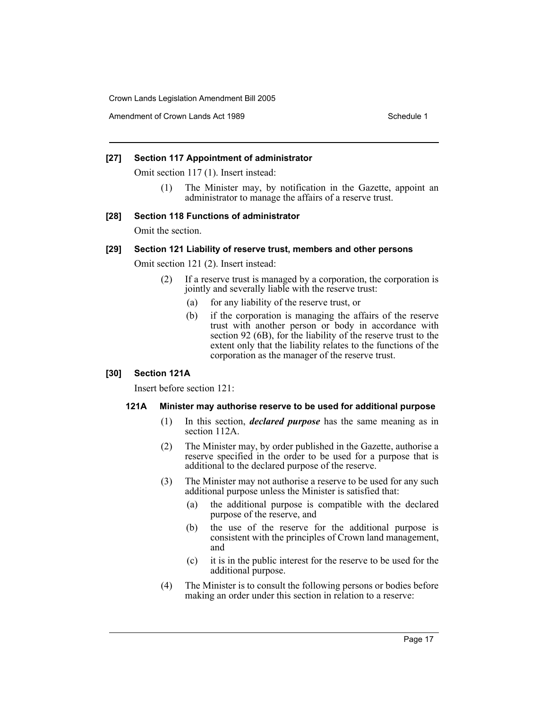Amendment of Crown Lands Act 1989 Schedule 1

### **[27] Section 117 Appointment of administrator**

Omit section 117 (1). Insert instead:

(1) The Minister may, by notification in the Gazette, appoint an administrator to manage the affairs of a reserve trust.

### **[28] Section 118 Functions of administrator**

Omit the section.

# **[29] Section 121 Liability of reserve trust, members and other persons**

Omit section 121 (2). Insert instead:

- (2) If a reserve trust is managed by a corporation, the corporation is jointly and severally liable with the reserve trust:
	- (a) for any liability of the reserve trust, or
	- (b) if the corporation is managing the affairs of the reserve trust with another person or body in accordance with section 92 (6B), for the liability of the reserve trust to the extent only that the liability relates to the functions of the corporation as the manager of the reserve trust.

# **[30] Section 121A**

Insert before section 121:

#### **121A Minister may authorise reserve to be used for additional purpose**

- (1) In this section, *declared purpose* has the same meaning as in section 112A.
- (2) The Minister may, by order published in the Gazette, authorise a reserve specified in the order to be used for a purpose that is additional to the declared purpose of the reserve.
- (3) The Minister may not authorise a reserve to be used for any such additional purpose unless the Minister is satisfied that:
	- (a) the additional purpose is compatible with the declared purpose of the reserve, and
	- (b) the use of the reserve for the additional purpose is consistent with the principles of Crown land management, and
	- (c) it is in the public interest for the reserve to be used for the additional purpose.
- (4) The Minister is to consult the following persons or bodies before making an order under this section in relation to a reserve: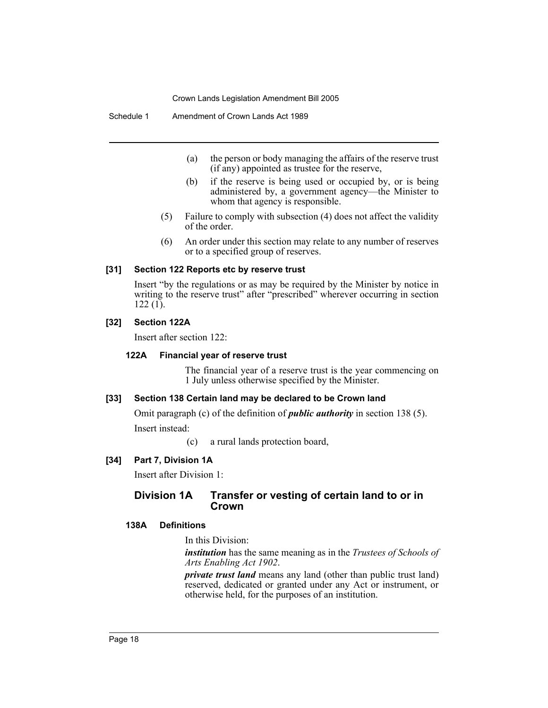Schedule 1 Amendment of Crown Lands Act 1989

- (a) the person or body managing the affairs of the reserve trust (if any) appointed as trustee for the reserve,
- (b) if the reserve is being used or occupied by, or is being administered by, a government agency—the Minister to whom that agency is responsible.
- (5) Failure to comply with subsection (4) does not affect the validity of the order.
- (6) An order under this section may relate to any number of reserves or to a specified group of reserves.

#### **[31] Section 122 Reports etc by reserve trust**

Insert "by the regulations or as may be required by the Minister by notice in writing to the reserve trust" after "prescribed" wherever occurring in section 122 (1).

#### **[32] Section 122A**

Insert after section 122:

#### **122A Financial year of reserve trust**

The financial year of a reserve trust is the year commencing on 1 July unless otherwise specified by the Minister.

#### **[33] Section 138 Certain land may be declared to be Crown land**

Omit paragraph (c) of the definition of *public authority* in section 138 (5). Insert instead:

(c) a rural lands protection board,

#### **[34] Part 7, Division 1A**

Insert after Division 1:

### **Division 1A Transfer or vesting of certain land to or in Crown**

#### **138A Definitions**

In this Division:

*institution* has the same meaning as in the *Trustees of Schools of Arts Enabling Act 1902*.

*private trust land* means any land (other than public trust land) reserved, dedicated or granted under any Act or instrument, or otherwise held, for the purposes of an institution.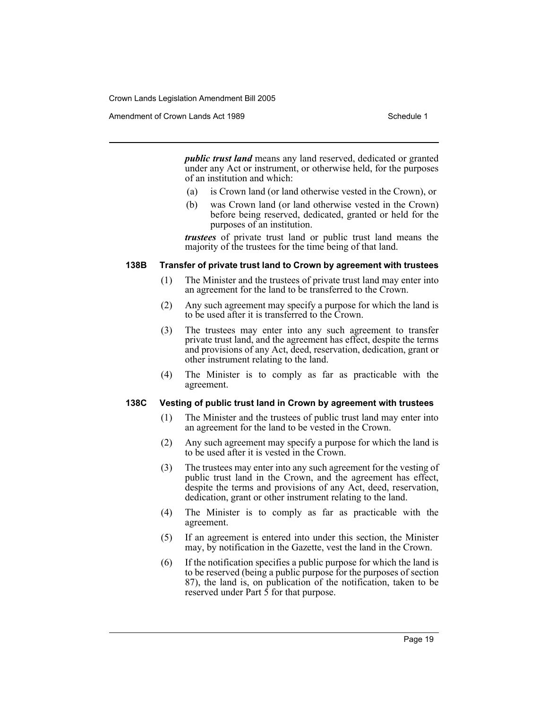Amendment of Crown Lands Act 1989 Schedule 1

*public trust land* means any land reserved, dedicated or granted under any Act or instrument, or otherwise held, for the purposes of an institution and which:

- (a) is Crown land (or land otherwise vested in the Crown), or
- (b) was Crown land (or land otherwise vested in the Crown) before being reserved, dedicated, granted or held for the purposes of an institution.

*trustees* of private trust land or public trust land means the majority of the trustees for the time being of that land.

#### **138B Transfer of private trust land to Crown by agreement with trustees**

- (1) The Minister and the trustees of private trust land may enter into an agreement for the land to be transferred to the Crown.
- (2) Any such agreement may specify a purpose for which the land is to be used after it is transferred to the Crown.
- (3) The trustees may enter into any such agreement to transfer private trust land, and the agreement has effect, despite the terms and provisions of any Act, deed, reservation, dedication, grant or other instrument relating to the land.
- (4) The Minister is to comply as far as practicable with the agreement.

#### **138C Vesting of public trust land in Crown by agreement with trustees**

- (1) The Minister and the trustees of public trust land may enter into an agreement for the land to be vested in the Crown.
- (2) Any such agreement may specify a purpose for which the land is to be used after it is vested in the Crown.
- (3) The trustees may enter into any such agreement for the vesting of public trust land in the Crown, and the agreement has effect, despite the terms and provisions of any Act, deed, reservation, dedication, grant or other instrument relating to the land.
- (4) The Minister is to comply as far as practicable with the agreement.
- (5) If an agreement is entered into under this section, the Minister may, by notification in the Gazette, vest the land in the Crown.
- (6) If the notification specifies a public purpose for which the land is to be reserved (being a public purpose for the purposes of section 87), the land is, on publication of the notification, taken to be reserved under Part 5 for that purpose.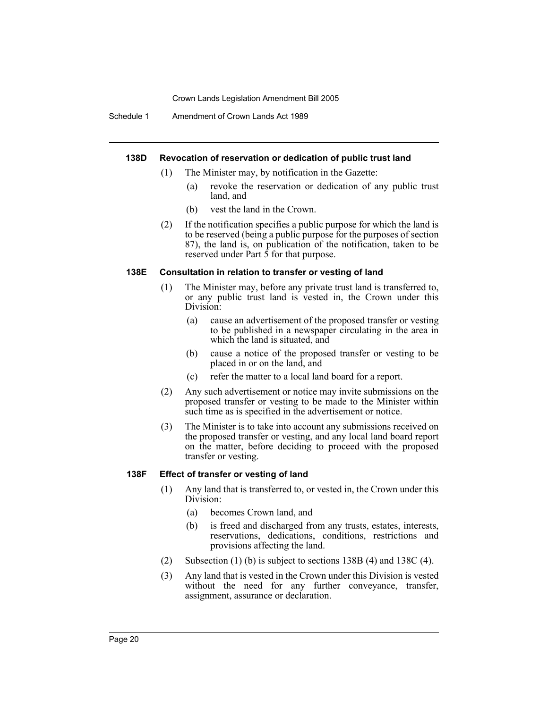Schedule 1 Amendment of Crown Lands Act 1989

# **138D Revocation of reservation or dedication of public trust land**

- (1) The Minister may, by notification in the Gazette:
	- (a) revoke the reservation or dedication of any public trust land, and
	- (b) vest the land in the Crown.
- (2) If the notification specifies a public purpose for which the land is to be reserved (being a public purpose for the purposes of section 87), the land is, on publication of the notification, taken to be reserved under Part 5 for that purpose.

### **138E Consultation in relation to transfer or vesting of land**

- (1) The Minister may, before any private trust land is transferred to, or any public trust land is vested in, the Crown under this Division:
	- (a) cause an advertisement of the proposed transfer or vesting to be published in a newspaper circulating in the area in which the land is situated, and
	- (b) cause a notice of the proposed transfer or vesting to be placed in or on the land, and
	- (c) refer the matter to a local land board for a report.
- (2) Any such advertisement or notice may invite submissions on the proposed transfer or vesting to be made to the Minister within such time as is specified in the advertisement or notice.
- (3) The Minister is to take into account any submissions received on the proposed transfer or vesting, and any local land board report on the matter, before deciding to proceed with the proposed transfer or vesting.

#### **138F Effect of transfer or vesting of land**

- (1) Any land that is transferred to, or vested in, the Crown under this Division:
	- (a) becomes Crown land, and
	- (b) is freed and discharged from any trusts, estates, interests, reservations, dedications, conditions, restrictions and provisions affecting the land.
- (2) Subsection (1) (b) is subject to sections 138B (4) and 138C (4).
- (3) Any land that is vested in the Crown under this Division is vested without the need for any further conveyance, transfer, assignment, assurance or declaration.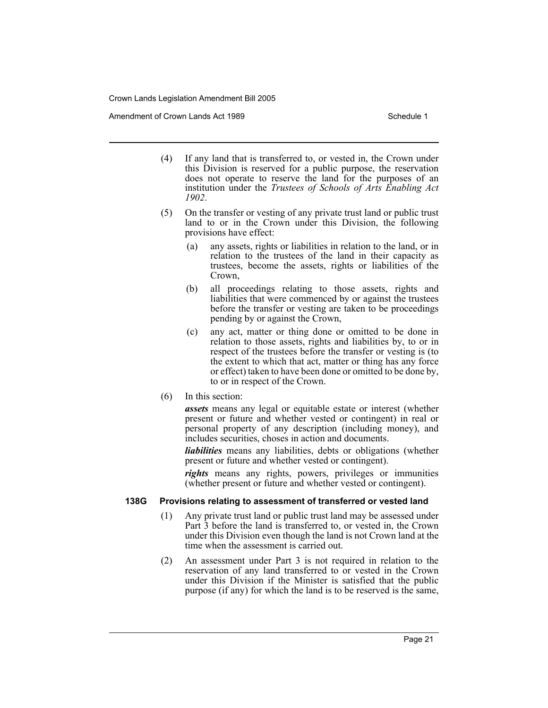Amendment of Crown Lands Act 1989 Schedule 1

- (4) If any land that is transferred to, or vested in, the Crown under this Division is reserved for a public purpose, the reservation does not operate to reserve the land for the purposes of an institution under the *Trustees of Schools of Arts Enabling Act 1902*.
- (5) On the transfer or vesting of any private trust land or public trust land to or in the Crown under this Division, the following provisions have effect:
	- (a) any assets, rights or liabilities in relation to the land, or in relation to the trustees of the land in their capacity as trustees, become the assets, rights or liabilities of the Crown,
	- (b) all proceedings relating to those assets, rights and liabilities that were commenced by or against the trustees before the transfer or vesting are taken to be proceedings pending by or against the Crown,
	- (c) any act, matter or thing done or omitted to be done in relation to those assets, rights and liabilities by, to or in respect of the trustees before the transfer or vesting is (to the extent to which that act, matter or thing has any force or effect) taken to have been done or omitted to be done by, to or in respect of the Crown.
- (6) In this section:

*assets* means any legal or equitable estate or interest (whether present or future and whether vested or contingent) in real or personal property of any description (including money), and includes securities, choses in action and documents.

*liabilities* means any liabilities, debts or obligations (whether present or future and whether vested or contingent).

*rights* means any rights, powers, privileges or immunities (whether present or future and whether vested or contingent).

#### **138G Provisions relating to assessment of transferred or vested land**

- (1) Any private trust land or public trust land may be assessed under Part 3 before the land is transferred to, or vested in, the Crown under this Division even though the land is not Crown land at the time when the assessment is carried out.
- (2) An assessment under Part 3 is not required in relation to the reservation of any land transferred to or vested in the Crown under this Division if the Minister is satisfied that the public purpose (if any) for which the land is to be reserved is the same,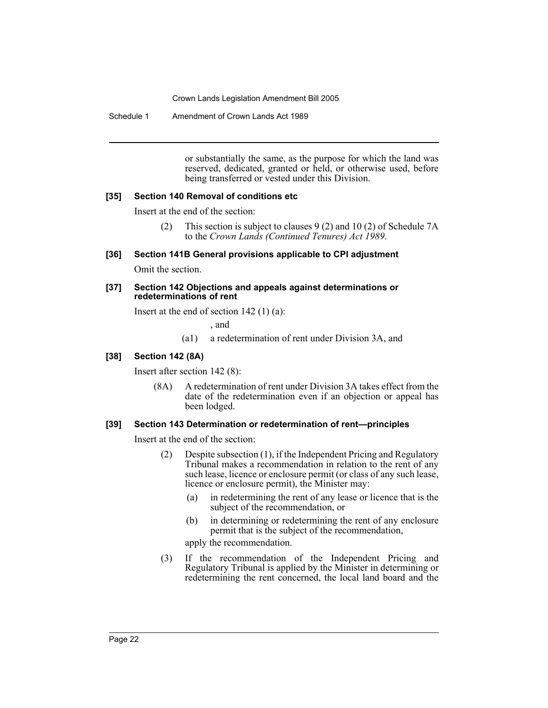Schedule 1 Amendment of Crown Lands Act 1989

or substantially the same, as the purpose for which the land was reserved, dedicated, granted or held, or otherwise used, before being transferred or vested under this Division.

#### **[35] Section 140 Removal of conditions etc**

Insert at the end of the section:

(2) This section is subject to clauses 9 (2) and 10 (2) of Schedule 7A to the *Crown Lands (Continued Tenures) Act 1989*.

**[36] Section 141B General provisions applicable to CPI adjustment**

Omit the section.

#### **[37] Section 142 Objections and appeals against determinations or redeterminations of rent**

Insert at the end of section 142 (1) (a):

, and

(a1) a redetermination of rent under Division 3A, and

#### **[38] Section 142 (8A)**

Insert after section 142 (8):

(8A) A redetermination of rent under Division 3A takes effect from the date of the redetermination even if an objection or appeal has been lodged.

#### **[39] Section 143 Determination or redetermination of rent—principles**

Insert at the end of the section:

- (2) Despite subsection (1), if the Independent Pricing and Regulatory Tribunal makes a recommendation in relation to the rent of any such lease, licence or enclosure permit (or class of any such lease, licence or enclosure permit), the Minister may:
	- (a) in redetermining the rent of any lease or licence that is the subject of the recommendation, or
	- (b) in determining or redetermining the rent of any enclosure permit that is the subject of the recommendation,

apply the recommendation.

(3) If the recommendation of the Independent Pricing and Regulatory Tribunal is applied by the Minister in determining or redetermining the rent concerned, the local land board and the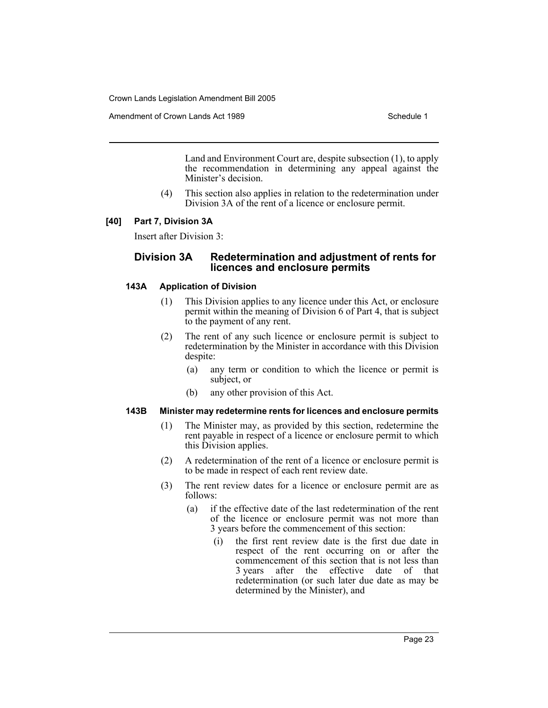Amendment of Crown Lands Act 1989 Schedule 1

Land and Environment Court are, despite subsection (1), to apply the recommendation in determining any appeal against the Minister's decision.

(4) This section also applies in relation to the redetermination under Division 3A of the rent of a licence or enclosure permit.

### **[40] Part 7, Division 3A**

Insert after Division 3:

# **Division 3A Redetermination and adjustment of rents for licences and enclosure permits**

### **143A Application of Division**

- (1) This Division applies to any licence under this Act, or enclosure permit within the meaning of Division 6 of Part 4, that is subject to the payment of any rent.
- (2) The rent of any such licence or enclosure permit is subject to redetermination by the Minister in accordance with this Division despite:
	- (a) any term or condition to which the licence or permit is subject, or
	- (b) any other provision of this Act.

#### **143B Minister may redetermine rents for licences and enclosure permits**

- (1) The Minister may, as provided by this section, redetermine the rent payable in respect of a licence or enclosure permit to which this Division applies.
- (2) A redetermination of the rent of a licence or enclosure permit is to be made in respect of each rent review date.
- (3) The rent review dates for a licence or enclosure permit are as follows:
	- (a) if the effective date of the last redetermination of the rent of the licence or enclosure permit was not more than 3 years before the commencement of this section:
		- (i) the first rent review date is the first due date in respect of the rent occurring on or after the commencement of this section that is not less than 3 years after the effective date of that redetermination (or such later due date as may be determined by the Minister), and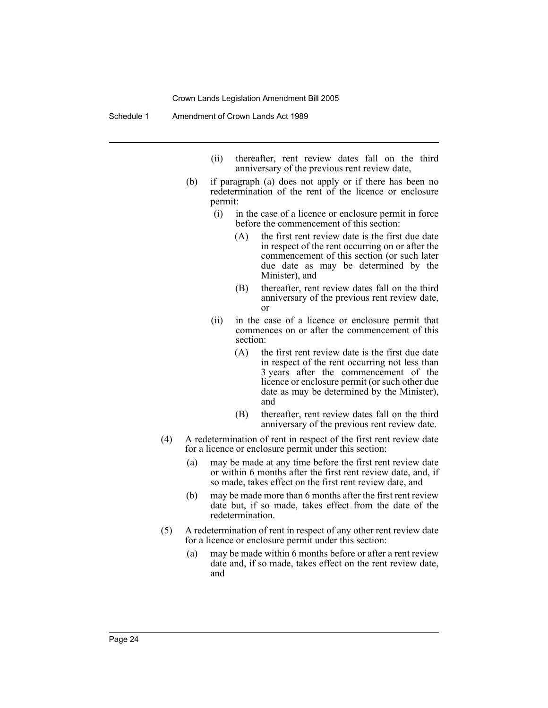- (ii) thereafter, rent review dates fall on the third anniversary of the previous rent review date,
- (b) if paragraph (a) does not apply or if there has been no redetermination of the rent of the licence or enclosure permit:
	- (i) in the case of a licence or enclosure permit in force before the commencement of this section:
		- (A) the first rent review date is the first due date in respect of the rent occurring on or after the commencement of this section (or such later due date as may be determined by the Minister), and
		- (B) thereafter, rent review dates fall on the third anniversary of the previous rent review date, or
	- (ii) in the case of a licence or enclosure permit that commences on or after the commencement of this section:
		- (A) the first rent review date is the first due date in respect of the rent occurring not less than 3 years after the commencement of the licence or enclosure permit (or such other due date as may be determined by the Minister), and
		- (B) thereafter, rent review dates fall on the third anniversary of the previous rent review date.
- (4) A redetermination of rent in respect of the first rent review date for a licence or enclosure permit under this section:
	- (a) may be made at any time before the first rent review date or within 6 months after the first rent review date, and, if so made, takes effect on the first rent review date, and
	- (b) may be made more than 6 months after the first rent review date but, if so made, takes effect from the date of the redetermination.
- (5) A redetermination of rent in respect of any other rent review date for a licence or enclosure permit under this section:
	- (a) may be made within 6 months before or after a rent review date and, if so made, takes effect on the rent review date, and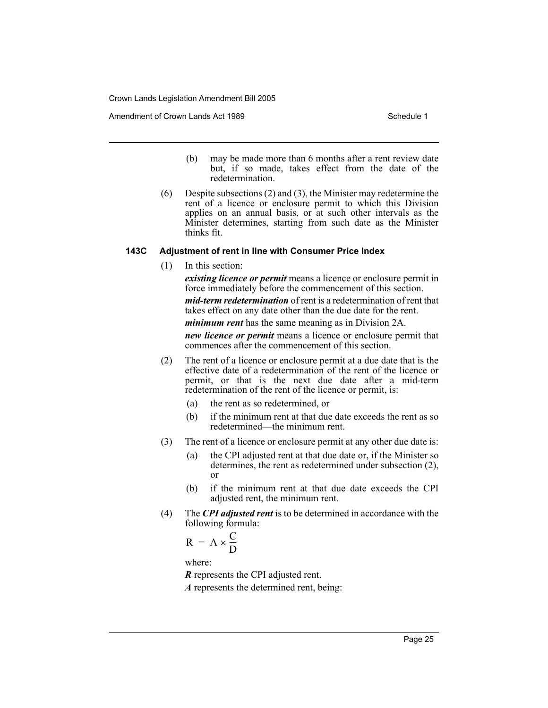Amendment of Crown Lands Act 1989 Schedule 1

- (b) may be made more than 6 months after a rent review date but, if so made, takes effect from the date of the redetermination.
- (6) Despite subsections (2) and (3), the Minister may redetermine the rent of a licence or enclosure permit to which this Division applies on an annual basis, or at such other intervals as the Minister determines, starting from such date as the Minister thinks fit.

### **143C Adjustment of rent in line with Consumer Price Index**

(1) In this section:

*existing licence or permit* means a licence or enclosure permit in force immediately before the commencement of this section.

*mid-term redetermination* of rent is a redetermination of rent that takes effect on any date other than the due date for the rent.

*minimum rent* has the same meaning as in Division 2A.

*new licence or permit* means a licence or enclosure permit that commences after the commencement of this section.

- (2) The rent of a licence or enclosure permit at a due date that is the effective date of a redetermination of the rent of the licence or permit, or that is the next due date after a mid-term redetermination of the rent of the licence or permit, is:
	- (a) the rent as so redetermined, or
	- (b) if the minimum rent at that due date exceeds the rent as so redetermined—the minimum rent.
- (3) The rent of a licence or enclosure permit at any other due date is:
	- (a) the CPI adjusted rent at that due date or, if the Minister so determines, the rent as redetermined under subsection (2), or
	- (b) if the minimum rent at that due date exceeds the CPI adjusted rent, the minimum rent.
- (4) The *CPI adjusted rent* is to be determined in accordance with the following formula:

$$
R = A \times \frac{C}{D}
$$

where:

*R* represents the CPI adjusted rent.

*A* represents the determined rent, being: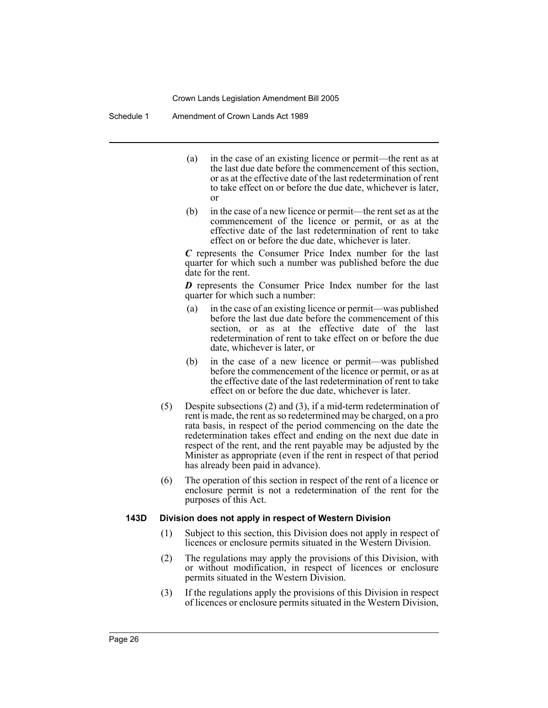Schedule 1 Amendment of Crown Lands Act 1989

- (a) in the case of an existing licence or permit—the rent as at the last due date before the commencement of this section, or as at the effective date of the last redetermination of rent to take effect on or before the due date, whichever is later, or
- (b) in the case of a new licence or permit—the rent set as at the commencement of the licence or permit, or as at the effective date of the last redetermination of rent to take effect on or before the due date, whichever is later.

*C* represents the Consumer Price Index number for the last quarter for which such a number was published before the due date for the rent.

*D* represents the Consumer Price Index number for the last quarter for which such a number:

- (a) in the case of an existing licence or permit—was published before the last due date before the commencement of this section, or as at the effective date of the last redetermination of rent to take effect on or before the due date, whichever is later, or
- (b) in the case of a new licence or permit—was published before the commencement of the licence or permit, or as at the effective date of the last redetermination of rent to take effect on or before the due date, whichever is later.
- (5) Despite subsections (2) and (3), if a mid-term redetermination of rent is made, the rent as so redetermined may be charged, on a pro rata basis, in respect of the period commencing on the date the redetermination takes effect and ending on the next due date in respect of the rent, and the rent payable may be adjusted by the Minister as appropriate (even if the rent in respect of that period has already been paid in advance).
- (6) The operation of this section in respect of the rent of a licence or enclosure permit is not a redetermination of the rent for the purposes of this Act.

#### **143D Division does not apply in respect of Western Division**

- (1) Subject to this section, this Division does not apply in respect of licences or enclosure permits situated in the Western Division.
- (2) The regulations may apply the provisions of this Division, with or without modification, in respect of licences or enclosure permits situated in the Western Division.
- (3) If the regulations apply the provisions of this Division in respect of licences or enclosure permits situated in the Western Division,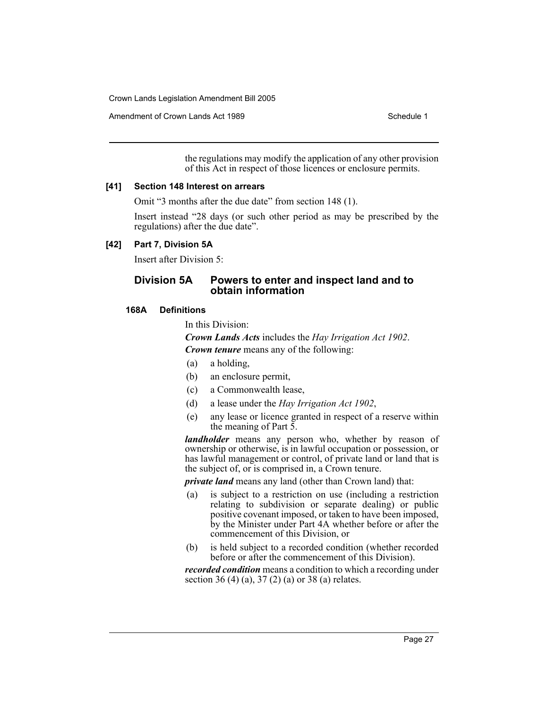Amendment of Crown Lands Act 1989 Schedule 1

the regulations may modify the application of any other provision of this Act in respect of those licences or enclosure permits.

#### **[41] Section 148 Interest on arrears**

Omit "3 months after the due date" from section 148 (1).

Insert instead "28 days (or such other period as may be prescribed by the regulations) after the due date".

#### **[42] Part 7, Division 5A**

Insert after Division 5:

# **Division 5A Powers to enter and inspect land and to obtain information**

#### **168A Definitions**

In this Division:

*Crown Lands Acts* includes the *Hay Irrigation Act 1902*.

*Crown tenure* means any of the following:

- (a) a holding,
- (b) an enclosure permit,
- (c) a Commonwealth lease,
- (d) a lease under the *Hay Irrigation Act 1902*,
- (e) any lease or licence granted in respect of a reserve within the meaning of Part  $\bar{5}$ .

*landholder* means any person who, whether by reason of ownership or otherwise, is in lawful occupation or possession, or has lawful management or control, of private land or land that is the subject of, or is comprised in, a Crown tenure.

*private land* means any land (other than Crown land) that:

- (a) is subject to a restriction on use (including a restriction relating to subdivision or separate dealing) or public positive covenant imposed, or taken to have been imposed, by the Minister under Part 4A whether before or after the commencement of this Division, or
- (b) is held subject to a recorded condition (whether recorded before or after the commencement of this Division).

*recorded condition* means a condition to which a recording under section 36 (4) (a), 37 (2) (a) or 38 (a) relates.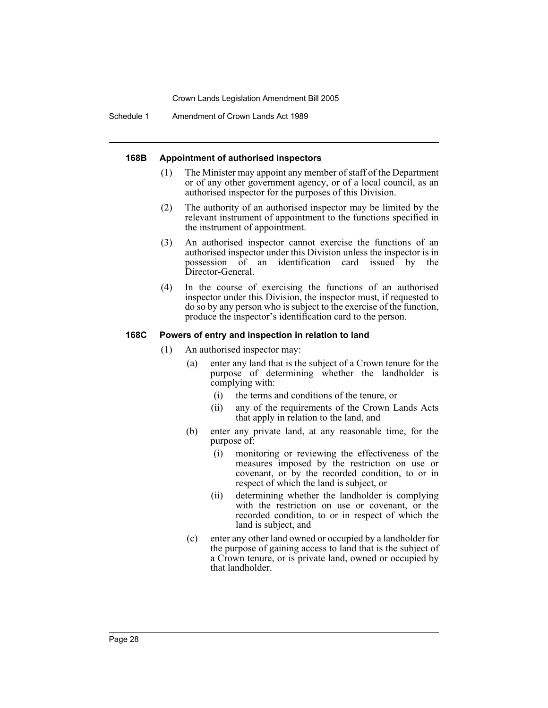Schedule 1 Amendment of Crown Lands Act 1989

### **168B Appointment of authorised inspectors**

- (1) The Minister may appoint any member of staff of the Department or of any other government agency, or of a local council, as an authorised inspector for the purposes of this Division.
- (2) The authority of an authorised inspector may be limited by the relevant instrument of appointment to the functions specified in the instrument of appointment.
- (3) An authorised inspector cannot exercise the functions of an authorised inspector under this Division unless the inspector is in possession of an identification card issued by the Director-General.
- (4) In the course of exercising the functions of an authorised inspector under this Division, the inspector must, if requested to do so by any person who is subject to the exercise of the function, produce the inspector's identification card to the person.

### **168C Powers of entry and inspection in relation to land**

- (1) An authorised inspector may:
	- (a) enter any land that is the subject of a Crown tenure for the purpose of determining whether the landholder is complying with:
		- (i) the terms and conditions of the tenure, or
		- (ii) any of the requirements of the Crown Lands Acts that apply in relation to the land, and
	- (b) enter any private land, at any reasonable time, for the purpose of:
		- (i) monitoring or reviewing the effectiveness of the measures imposed by the restriction on use or covenant, or by the recorded condition, to or in respect of which the land is subject, or
		- (ii) determining whether the landholder is complying with the restriction on use or covenant, or the recorded condition, to or in respect of which the land is subject, and
	- (c) enter any other land owned or occupied by a landholder for the purpose of gaining access to land that is the subject of a Crown tenure, or is private land, owned or occupied by that landholder.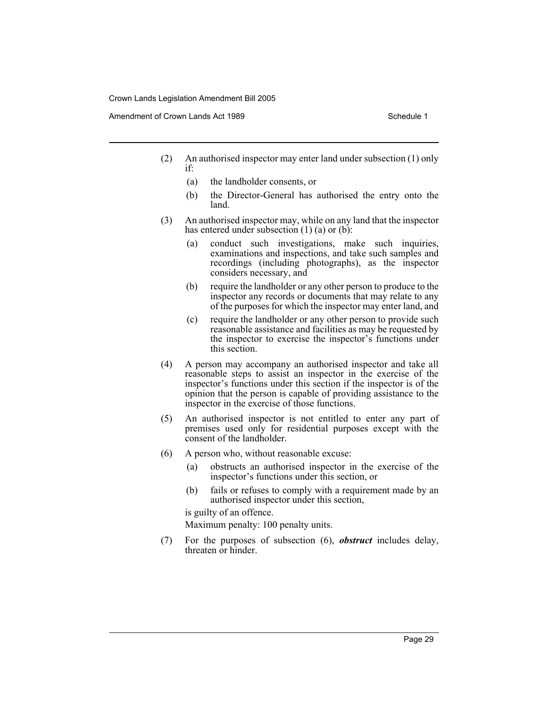Amendment of Crown Lands Act 1989 Schedule 1

- 
- (2) An authorised inspector may enter land under subsection (1) only if:
	- (a) the landholder consents, or
	- (b) the Director-General has authorised the entry onto the land.
- (3) An authorised inspector may, while on any land that the inspector has entered under subsection (1) (a) or (b):
	- (a) conduct such investigations, make such inquiries, examinations and inspections, and take such samples and recordings (including photographs), as the inspector considers necessary, and
	- (b) require the landholder or any other person to produce to the inspector any records or documents that may relate to any of the purposes for which the inspector may enter land, and
	- (c) require the landholder or any other person to provide such reasonable assistance and facilities as may be requested by the inspector to exercise the inspector's functions under this section.
- (4) A person may accompany an authorised inspector and take all reasonable steps to assist an inspector in the exercise of the inspector's functions under this section if the inspector is of the opinion that the person is capable of providing assistance to the inspector in the exercise of those functions.
- (5) An authorised inspector is not entitled to enter any part of premises used only for residential purposes except with the consent of the landholder.
- (6) A person who, without reasonable excuse:
	- (a) obstructs an authorised inspector in the exercise of the inspector's functions under this section, or
	- (b) fails or refuses to comply with a requirement made by an authorised inspector under this section,

is guilty of an offence.

Maximum penalty: 100 penalty units.

(7) For the purposes of subsection (6), *obstruct* includes delay, threaten or hinder.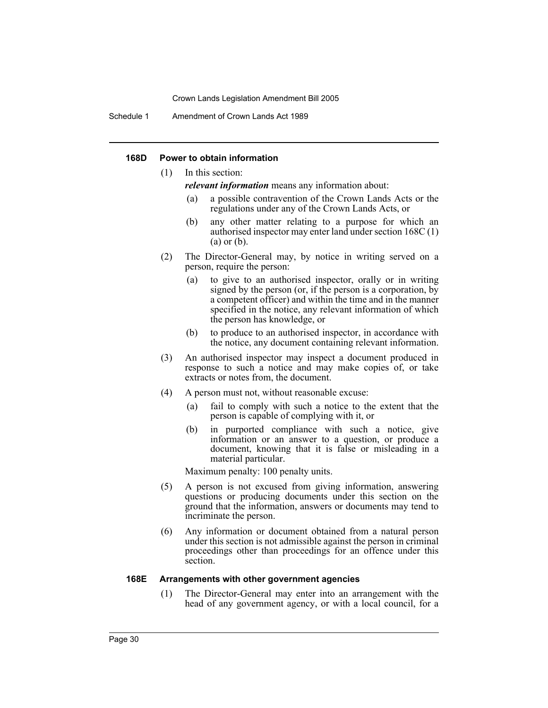Schedule 1 Amendment of Crown Lands Act 1989

#### **168D Power to obtain information**

(1) In this section:

*relevant information* means any information about:

- (a) a possible contravention of the Crown Lands Acts or the regulations under any of the Crown Lands Acts, or
- (b) any other matter relating to a purpose for which an authorised inspector may enter land under section 168C (1) (a) or (b).
- (2) The Director-General may, by notice in writing served on a person, require the person:
	- (a) to give to an authorised inspector, orally or in writing signed by the person (or, if the person is a corporation, by a competent officer) and within the time and in the manner specified in the notice, any relevant information of which the person has knowledge, or
	- (b) to produce to an authorised inspector, in accordance with the notice, any document containing relevant information.
- (3) An authorised inspector may inspect a document produced in response to such a notice and may make copies of, or take extracts or notes from, the document.
- (4) A person must not, without reasonable excuse:
	- (a) fail to comply with such a notice to the extent that the person is capable of complying with it, or
	- (b) in purported compliance with such a notice, give information or an answer to a question, or produce a document, knowing that it is false or misleading in a material particular.

Maximum penalty: 100 penalty units.

- (5) A person is not excused from giving information, answering questions or producing documents under this section on the ground that the information, answers or documents may tend to incriminate the person.
- (6) Any information or document obtained from a natural person under this section is not admissible against the person in criminal proceedings other than proceedings for an offence under this section.

#### **168E Arrangements with other government agencies**

(1) The Director-General may enter into an arrangement with the head of any government agency, or with a local council, for a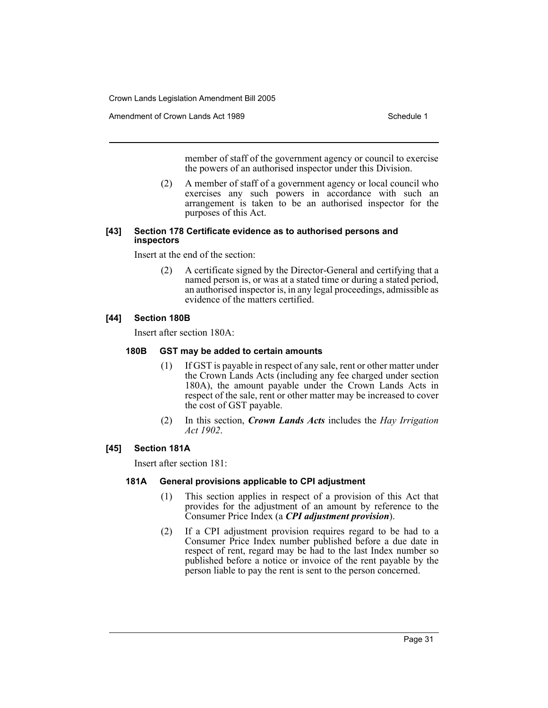Amendment of Crown Lands Act 1989 Schedule 1

member of staff of the government agency or council to exercise the powers of an authorised inspector under this Division.

(2) A member of staff of a government agency or local council who exercises any such powers in accordance with such an arrangement is taken to be an authorised inspector for the purposes of this Act.

#### **[43] Section 178 Certificate evidence as to authorised persons and inspectors**

Insert at the end of the section:

(2) A certificate signed by the Director-General and certifying that a named person is, or was at a stated time or during a stated period, an authorised inspector is, in any legal proceedings, admissible as evidence of the matters certified.

### **[44] Section 180B**

Insert after section 180A:

#### **180B GST may be added to certain amounts**

- (1) If GST is payable in respect of any sale, rent or other matter under the Crown Lands Acts (including any fee charged under section 180A), the amount payable under the Crown Lands Acts in respect of the sale, rent or other matter may be increased to cover the cost of GST payable.
- (2) In this section, *Crown Lands Acts* includes the *Hay Irrigation Act 1902*.

### **[45] Section 181A**

Insert after section 181:

#### **181A General provisions applicable to CPI adjustment**

- (1) This section applies in respect of a provision of this Act that provides for the adjustment of an amount by reference to the Consumer Price Index (a *CPI adjustment provision*).
- (2) If a CPI adjustment provision requires regard to be had to a Consumer Price Index number published before a due date in respect of rent, regard may be had to the last Index number so published before a notice or invoice of the rent payable by the person liable to pay the rent is sent to the person concerned.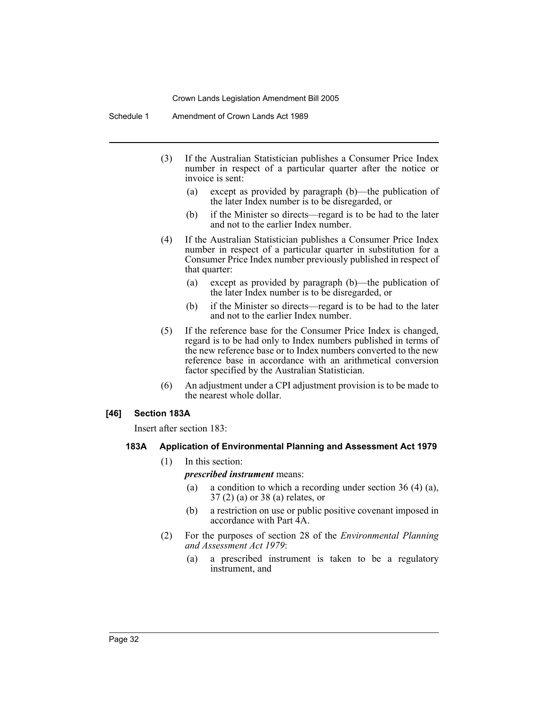Schedule 1 Amendment of Crown Lands Act 1989

- (3) If the Australian Statistician publishes a Consumer Price Index number in respect of a particular quarter after the notice or invoice is sent:
	- (a) except as provided by paragraph (b)—the publication of the later Index number is to be disregarded, or
	- (b) if the Minister so directs—regard is to be had to the later and not to the earlier Index number.
- (4) If the Australian Statistician publishes a Consumer Price Index number in respect of a particular quarter in substitution for a Consumer Price Index number previously published in respect of that quarter:
	- (a) except as provided by paragraph (b)—the publication of the later Index number is to be disregarded, or
	- (b) if the Minister so directs—regard is to be had to the later and not to the earlier Index number.
- (5) If the reference base for the Consumer Price Index is changed, regard is to be had only to Index numbers published in terms of the new reference base or to Index numbers converted to the new reference base in accordance with an arithmetical conversion factor specified by the Australian Statistician.
- (6) An adjustment under a CPI adjustment provision is to be made to the nearest whole dollar.

#### **[46] Section 183A**

Insert after section 183:

#### **183A Application of Environmental Planning and Assessment Act 1979**

(1) In this section:

#### *prescribed instrument* means:

- (a) a condition to which a recording under section 36 (4) (a), 37 (2) (a) or 38 (a) relates, or
- (b) a restriction on use or public positive covenant imposed in accordance with Part 4A.
- (2) For the purposes of section 28 of the *Environmental Planning and Assessment Act 1979*:
	- (a) a prescribed instrument is taken to be a regulatory instrument, and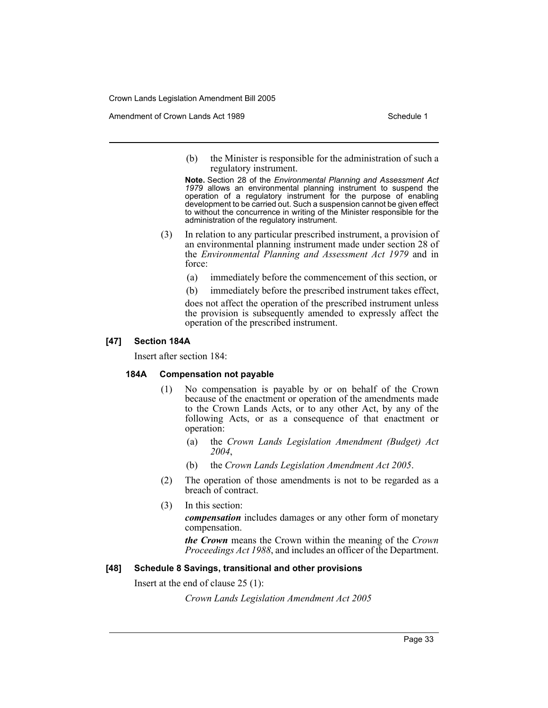Amendment of Crown Lands Act 1989 Schedule 1

(b) the Minister is responsible for the administration of such a regulatory instrument.

**Note.** Section 28 of the *Environmental Planning and Assessment Act 1979* allows an environmental planning instrument to suspend the operation of a regulatory instrument for the purpose of enabling development to be carried out. Such a suspension cannot be given effect to without the concurrence in writing of the Minister responsible for the administration of the regulatory instrument.

- (3) In relation to any particular prescribed instrument, a provision of an environmental planning instrument made under section 28 of the *Environmental Planning and Assessment Act 1979* and in force:
	- (a) immediately before the commencement of this section, or
	- (b) immediately before the prescribed instrument takes effect,

does not affect the operation of the prescribed instrument unless the provision is subsequently amended to expressly affect the operation of the prescribed instrument.

#### **[47] Section 184A**

Insert after section 184:

#### **184A Compensation not payable**

- (1) No compensation is payable by or on behalf of the Crown because of the enactment or operation of the amendments made to the Crown Lands Acts, or to any other Act, by any of the following Acts, or as a consequence of that enactment or operation:
	- (a) the *Crown Lands Legislation Amendment (Budget) Act 2004*,
	- (b) the *Crown Lands Legislation Amendment Act 2005*.
- (2) The operation of those amendments is not to be regarded as a breach of contract.
- (3) In this section:

*compensation* includes damages or any other form of monetary compensation.

*the Crown* means the Crown within the meaning of the *Crown Proceedings Act 1988*, and includes an officer of the Department.

#### **[48] Schedule 8 Savings, transitional and other provisions**

Insert at the end of clause 25 (1):

*Crown Lands Legislation Amendment Act 2005*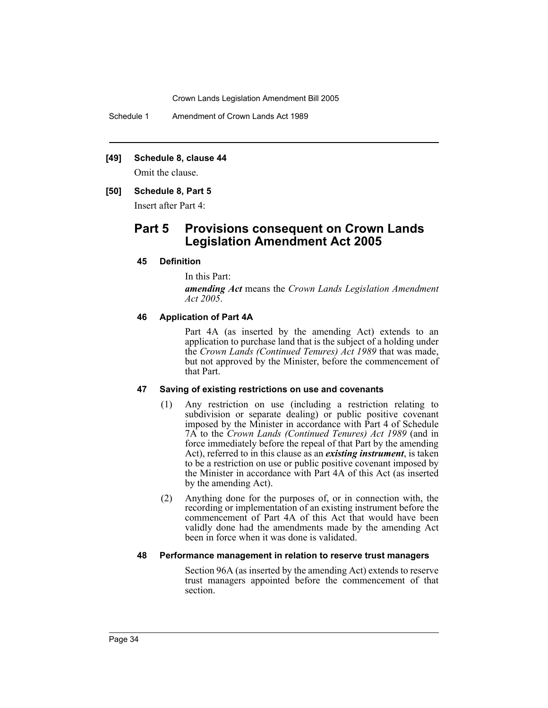Schedule 1 Amendment of Crown Lands Act 1989

#### **[49] Schedule 8, clause 44**

Omit the clause.

#### **[50] Schedule 8, Part 5**

Insert after Part 4:

# **Part 5 Provisions consequent on Crown Lands Legislation Amendment Act 2005**

#### **45 Definition**

In this Part:

*amending Act* means the *Crown Lands Legislation Amendment Act 2005*.

#### **46 Application of Part 4A**

Part 4A (as inserted by the amending Act) extends to an application to purchase land that is the subject of a holding under the *Crown Lands (Continued Tenures) Act 1989* that was made, but not approved by the Minister, before the commencement of that Part.

#### **47 Saving of existing restrictions on use and covenants**

- (1) Any restriction on use (including a restriction relating to subdivision or separate dealing) or public positive covenant imposed by the Minister in accordance with Part 4 of Schedule 7A to the *Crown Lands (Continued Tenures) Act 1989* (and in force immediately before the repeal of that Part by the amending Act), referred to in this clause as an *existing instrument*, is taken to be a restriction on use or public positive covenant imposed by the Minister in accordance with Part 4A of this Act (as inserted by the amending Act).
- (2) Anything done for the purposes of, or in connection with, the recording or implementation of an existing instrument before the commencement of Part 4A of this Act that would have been validly done had the amendments made by the amending Act been in force when it was done is validated.

#### **48 Performance management in relation to reserve trust managers**

Section 96A (as inserted by the amending Act) extends to reserve trust managers appointed before the commencement of that section.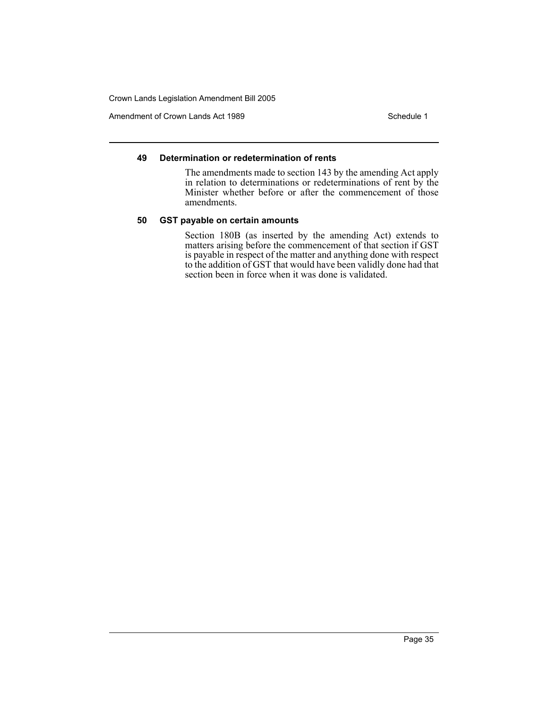Amendment of Crown Lands Act 1989 Schedule 1

#### **49 Determination or redetermination of rents**

The amendments made to section 143 by the amending Act apply in relation to determinations or redeterminations of rent by the Minister whether before or after the commencement of those amendments.

#### **50 GST payable on certain amounts**

Section 180B (as inserted by the amending Act) extends to matters arising before the commencement of that section if GST is payable in respect of the matter and anything done with respect to the addition of GST that would have been validly done had that section been in force when it was done is validated.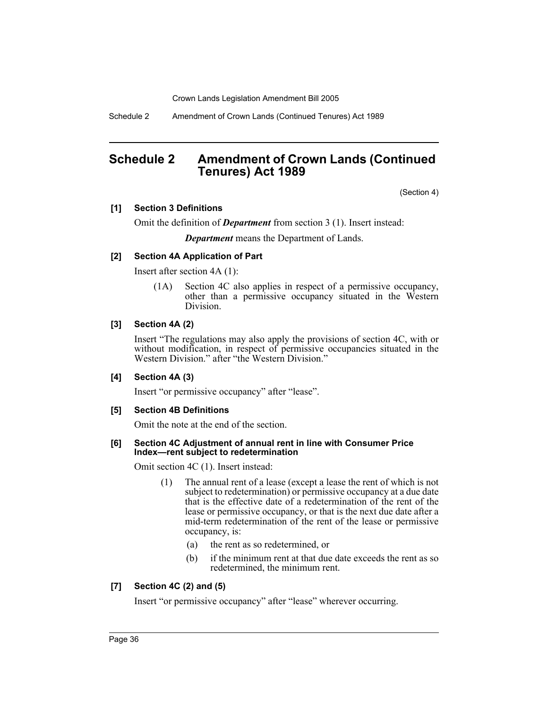Schedule 2 Amendment of Crown Lands (Continued Tenures) Act 1989

# **Schedule 2 Amendment of Crown Lands (Continued Tenures) Act 1989**

(Section 4)

# **[1] Section 3 Definitions**

Omit the definition of *Department* from section 3 (1). Insert instead:

*Department* means the Department of Lands.

# **[2] Section 4A Application of Part**

Insert after section 4A (1):

(1A) Section 4C also applies in respect of a permissive occupancy, other than a permissive occupancy situated in the Western Division.

# **[3] Section 4A (2)**

Insert "The regulations may also apply the provisions of section 4C, with or without modification, in respect of permissive occupancies situated in the Western Division." after "the Western Division."

# **[4] Section 4A (3)**

Insert "or permissive occupancy" after "lease".

#### **[5] Section 4B Definitions**

Omit the note at the end of the section.

#### **[6] Section 4C Adjustment of annual rent in line with Consumer Price Index—rent subject to redetermination**

Omit section 4C (1). Insert instead:

- (1) The annual rent of a lease (except a lease the rent of which is not subject to redetermination) or permissive occupancy at a due date that is the effective date of a redetermination of the rent of the lease or permissive occupancy, or that is the next due date after a mid-term redetermination of the rent of the lease or permissive occupancy, is:
	- (a) the rent as so redetermined, or
	- (b) if the minimum rent at that due date exceeds the rent as so redetermined, the minimum rent.

# **[7] Section 4C (2) and (5)**

Insert "or permissive occupancy" after "lease" wherever occurring.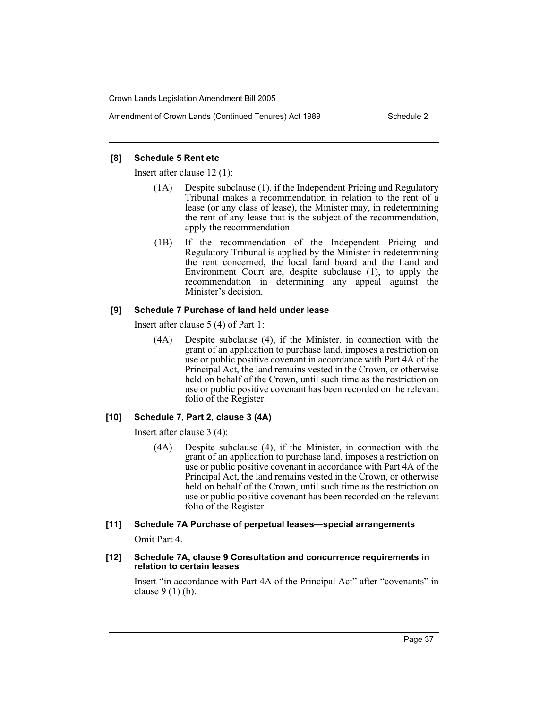Amendment of Crown Lands (Continued Tenures) Act 1989 Schedule 2

# **[8] Schedule 5 Rent etc**

Insert after clause 12 (1):

- (1A) Despite subclause (1), if the Independent Pricing and Regulatory Tribunal makes a recommendation in relation to the rent of a lease (or any class of lease), the Minister may, in redetermining the rent of any lease that is the subject of the recommendation, apply the recommendation.
- (1B) If the recommendation of the Independent Pricing and Regulatory Tribunal is applied by the Minister in redetermining the rent concerned, the local land board and the Land and Environment Court are, despite subclause (1), to apply the recommendation in determining any appeal against the Minister's decision.

# **[9] Schedule 7 Purchase of land held under lease**

Insert after clause 5 (4) of Part 1:

(4A) Despite subclause (4), if the Minister, in connection with the grant of an application to purchase land, imposes a restriction on use or public positive covenant in accordance with Part 4A of the Principal Act, the land remains vested in the Crown, or otherwise held on behalf of the Crown, until such time as the restriction on use or public positive covenant has been recorded on the relevant folio of the Register.

# **[10] Schedule 7, Part 2, clause 3 (4A)**

Insert after clause 3 (4):

(4A) Despite subclause (4), if the Minister, in connection with the grant of an application to purchase land, imposes a restriction on use or public positive covenant in accordance with Part 4A of the Principal Act, the land remains vested in the Crown, or otherwise held on behalf of the Crown, until such time as the restriction on use or public positive covenant has been recorded on the relevant folio of the Register.

# **[11] Schedule 7A Purchase of perpetual leases—special arrangements**

Omit Part 4.

# **[12] Schedule 7A, clause 9 Consultation and concurrence requirements in relation to certain leases**

Insert "in accordance with Part 4A of the Principal Act" after "covenants" in clause 9 (1) (b).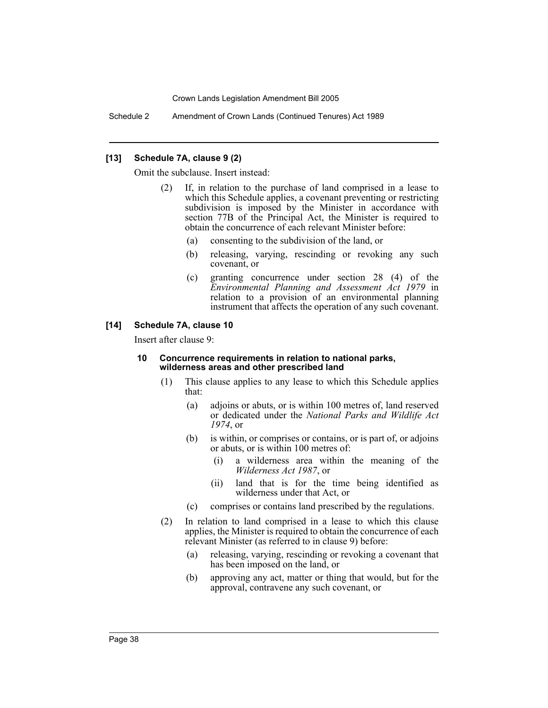Schedule 2 Amendment of Crown Lands (Continued Tenures) Act 1989

#### **[13] Schedule 7A, clause 9 (2)**

Omit the subclause. Insert instead:

- (2) If, in relation to the purchase of land comprised in a lease to which this Schedule applies, a covenant preventing or restricting subdivision is imposed by the Minister in accordance with section 77B of the Principal Act, the Minister is required to obtain the concurrence of each relevant Minister before:
	- (a) consenting to the subdivision of the land, or
	- (b) releasing, varying, rescinding or revoking any such covenant, or
	- (c) granting concurrence under section 28 (4) of the *Environmental Planning and Assessment Act 1979* in relation to a provision of an environmental planning instrument that affects the operation of any such covenant.

### **[14] Schedule 7A, clause 10**

Insert after clause 9:

#### **10 Concurrence requirements in relation to national parks, wilderness areas and other prescribed land**

- (1) This clause applies to any lease to which this Schedule applies that:
	- (a) adjoins or abuts, or is within 100 metres of, land reserved or dedicated under the *National Parks and Wildlife Act 1974*, or
	- (b) is within, or comprises or contains, or is part of, or adjoins or abuts, or is within 100 metres of:
		- (i) a wilderness area within the meaning of the *Wilderness Act 1987*, or
		- (ii) land that is for the time being identified as wilderness under that Act, or
	- (c) comprises or contains land prescribed by the regulations.
- (2) In relation to land comprised in a lease to which this clause applies, the Minister is required to obtain the concurrence of each relevant Minister (as referred to in clause 9) before:
	- (a) releasing, varying, rescinding or revoking a covenant that has been imposed on the land, or
	- (b) approving any act, matter or thing that would, but for the approval, contravene any such covenant, or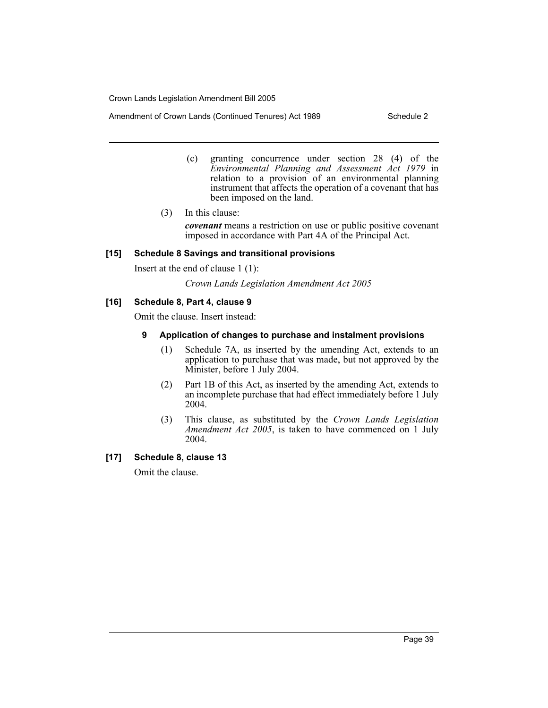Amendment of Crown Lands (Continued Tenures) Act 1989 Schedule 2

- (c) granting concurrence under section 28 (4) of the *Environmental Planning and Assessment Act 1979* in relation to a provision of an environmental planning instrument that affects the operation of a covenant that has been imposed on the land.
- (3) In this clause:

*covenant* means a restriction on use or public positive covenant imposed in accordance with Part 4A of the Principal Act.

# **[15] Schedule 8 Savings and transitional provisions**

Insert at the end of clause 1 (1):

*Crown Lands Legislation Amendment Act 2005*

# **[16] Schedule 8, Part 4, clause 9**

Omit the clause. Insert instead:

# **9 Application of changes to purchase and instalment provisions**

- (1) Schedule 7A, as inserted by the amending Act, extends to an application to purchase that was made, but not approved by the Minister, before 1 July 2004.
- (2) Part 1B of this Act, as inserted by the amending Act, extends to an incomplete purchase that had effect immediately before 1 July 2004.
- (3) This clause, as substituted by the *Crown Lands Legislation Amendment Act 2005*, is taken to have commenced on 1 July 2004.

# **[17] Schedule 8, clause 13**

Omit the clause.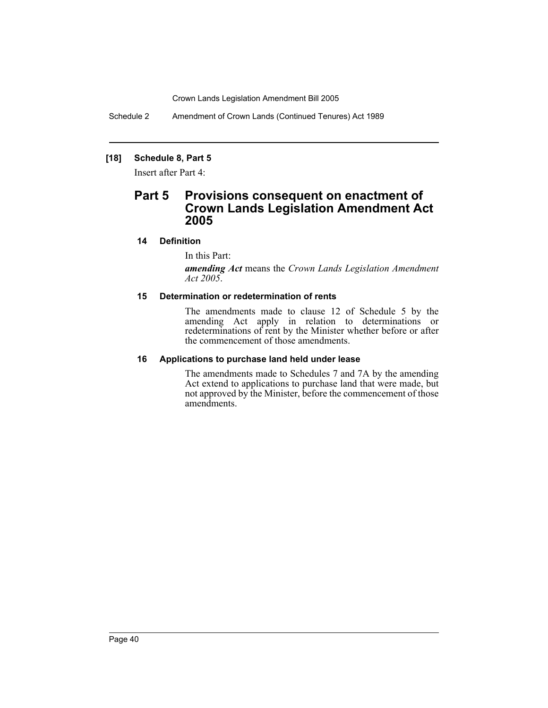Schedule 2 Amendment of Crown Lands (Continued Tenures) Act 1989

# **[18] Schedule 8, Part 5**

Insert after Part 4:

# **Part 5 Provisions consequent on enactment of Crown Lands Legislation Amendment Act 2005**

# **14 Definition**

In this Part:

*amending Act* means the *Crown Lands Legislation Amendment Act 2005*.

# **15 Determination or redetermination of rents**

The amendments made to clause 12 of Schedule 5 by the amending Act apply in relation to determinations or redeterminations of rent by the Minister whether before or after the commencement of those amendments.

#### **16 Applications to purchase land held under lease**

The amendments made to Schedules 7 and 7A by the amending Act extend to applications to purchase land that were made, but not approved by the Minister, before the commencement of those amendments.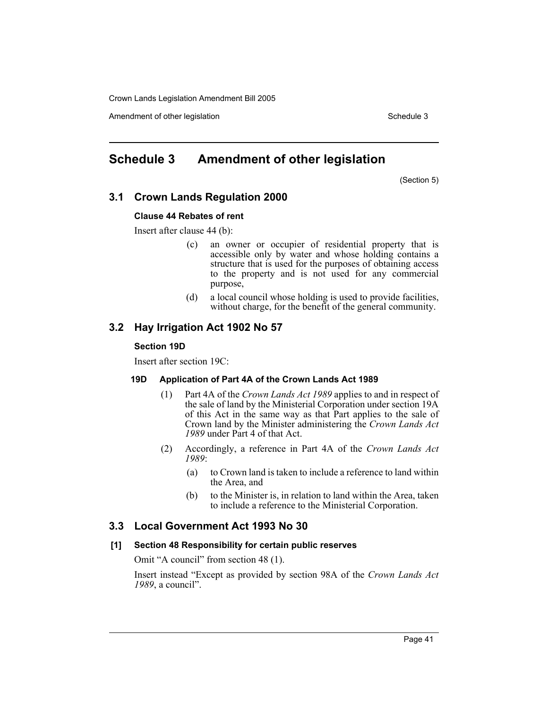Amendment of other legislation Schedule 3

# **Schedule 3 Amendment of other legislation**

(Section 5)

# **3.1 Crown Lands Regulation 2000**

#### **Clause 44 Rebates of rent**

Insert after clause 44 (b):

- (c) an owner or occupier of residential property that is accessible only by water and whose holding contains a structure that is used for the purposes of obtaining access to the property and is not used for any commercial purpose,
- (d) a local council whose holding is used to provide facilities, without charge, for the benefit of the general community.

# **3.2 Hay Irrigation Act 1902 No 57**

#### **Section 19D**

Insert after section 19C:

#### **19D Application of Part 4A of the Crown Lands Act 1989**

- (1) Part 4A of the *Crown Lands Act 1989* applies to and in respect of the sale of land by the Ministerial Corporation under section 19A of this Act in the same way as that Part applies to the sale of Crown land by the Minister administering the *Crown Lands Act 1989* under Part 4 of that Act.
- (2) Accordingly, a reference in Part 4A of the *Crown Lands Act 1989*:
	- (a) to Crown land is taken to include a reference to land within the Area, and
	- (b) to the Minister is, in relation to land within the Area, taken to include a reference to the Ministerial Corporation.

### **3.3 Local Government Act 1993 No 30**

#### **[1] Section 48 Responsibility for certain public reserves**

Omit "A council" from section 48 (1).

Insert instead "Except as provided by section 98A of the *Crown Lands Act 1989*, a council".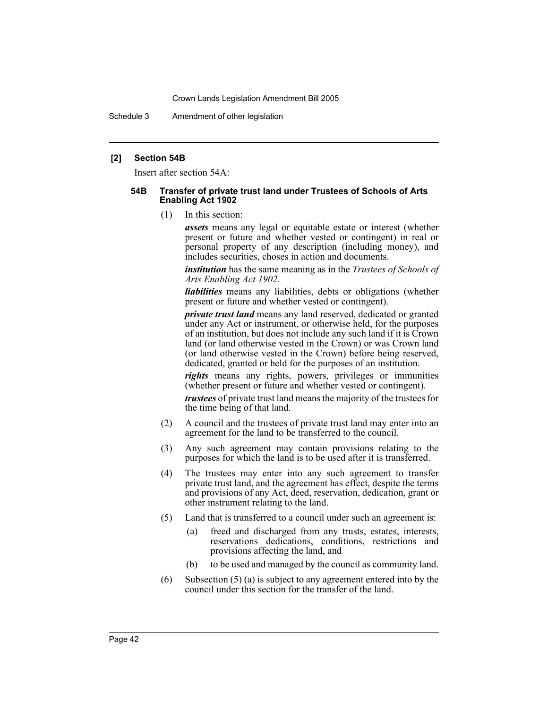Schedule 3 Amendment of other legislation

#### **[2] Section 54B**

Insert after section 54A:

#### **54B Transfer of private trust land under Trustees of Schools of Arts Enabling Act 1902**

(1) In this section:

*assets* means any legal or equitable estate or interest (whether present or future and whether vested or contingent) in real or personal property of any description (including money), and includes securities, choses in action and documents.

*institution* has the same meaning as in the *Trustees of Schools of Arts Enabling Act 1902*.

*liabilities* means any liabilities, debts or obligations (whether present or future and whether vested or contingent).

*private trust land* means any land reserved, dedicated or granted under any Act or instrument, or otherwise held, for the purposes of an institution, but does not include any such land if it is Crown land (or land otherwise vested in the Crown) or was Crown land (or land otherwise vested in the Crown) before being reserved, dedicated, granted or held for the purposes of an institution.

*rights* means any rights, powers, privileges or immunities (whether present or future and whether vested or contingent).

*trustees* of private trust land means the majority of the trustees for the time being of that land.

- (2) A council and the trustees of private trust land may enter into an agreement for the land to be transferred to the council.
- (3) Any such agreement may contain provisions relating to the purposes for which the land is to be used after it is transferred.
- (4) The trustees may enter into any such agreement to transfer private trust land, and the agreement has effect, despite the terms and provisions of any Act, deed, reservation, dedication, grant or other instrument relating to the land.
- (5) Land that is transferred to a council under such an agreement is:
	- (a) freed and discharged from any trusts, estates, interests, reservations dedications, conditions, restrictions and provisions affecting the land, and
	- (b) to be used and managed by the council as community land.
- (6) Subsection (5) (a) is subject to any agreement entered into by the council under this section for the transfer of the land.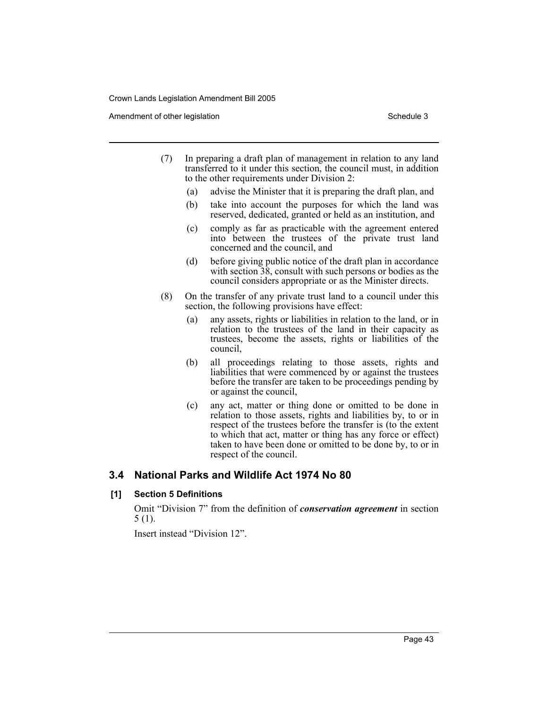Amendment of other legislation Schedule 3

- (7) In preparing a draft plan of management in relation to any land transferred to it under this section, the council must, in addition to the other requirements under Division 2:
	- (a) advise the Minister that it is preparing the draft plan, and
	- (b) take into account the purposes for which the land was reserved, dedicated, granted or held as an institution, and
	- (c) comply as far as practicable with the agreement entered into between the trustees of the private trust land concerned and the council, and
	- (d) before giving public notice of the draft plan in accordance with section  $38$ , consult with such persons or bodies as the council considers appropriate or as the Minister directs.
- (8) On the transfer of any private trust land to a council under this section, the following provisions have effect:
	- (a) any assets, rights or liabilities in relation to the land, or in relation to the trustees of the land in their capacity as trustees, become the assets, rights or liabilities of the council,
	- (b) all proceedings relating to those assets, rights and liabilities that were commenced by or against the trustees before the transfer are taken to be proceedings pending by or against the council,
	- (c) any act, matter or thing done or omitted to be done in relation to those assets, rights and liabilities by, to or in respect of the trustees before the transfer is (to the extent to which that act, matter or thing has any force or effect) taken to have been done or omitted to be done by, to or in respect of the council.

# **3.4 National Parks and Wildlife Act 1974 No 80**

# **[1] Section 5 Definitions**

Omit "Division 7" from the definition of *conservation agreement* in section 5 (1).

Insert instead "Division 12".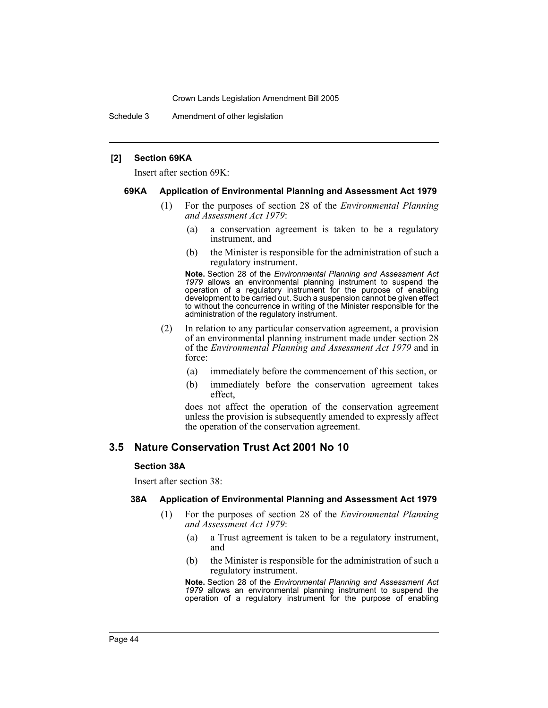Schedule 3 Amendment of other legislation

#### **[2] Section 69KA**

Insert after section 69K:

#### **69KA Application of Environmental Planning and Assessment Act 1979**

- (1) For the purposes of section 28 of the *Environmental Planning and Assessment Act 1979*:
	- (a) a conservation agreement is taken to be a regulatory instrument, and
	- (b) the Minister is responsible for the administration of such a regulatory instrument.

**Note.** Section 28 of the *Environmental Planning and Assessment Act 1979* allows an environmental planning instrument to suspend the operation of a regulatory instrument for the purpose of enabling development to be carried out. Such a suspension cannot be given effect to without the concurrence in writing of the Minister responsible for the administration of the regulatory instrument.

- (2) In relation to any particular conservation agreement, a provision of an environmental planning instrument made under section 28 of the *Environmental Planning and Assessment Act 1979* and in force:
	- (a) immediately before the commencement of this section, or
	- (b) immediately before the conservation agreement takes effect,

does not affect the operation of the conservation agreement unless the provision is subsequently amended to expressly affect the operation of the conservation agreement.

# **3.5 Nature Conservation Trust Act 2001 No 10**

#### **Section 38A**

Insert after section 38:

#### **38A Application of Environmental Planning and Assessment Act 1979**

- (1) For the purposes of section 28 of the *Environmental Planning and Assessment Act 1979*:
	- (a) a Trust agreement is taken to be a regulatory instrument, and
	- (b) the Minister is responsible for the administration of such a regulatory instrument.

**Note.** Section 28 of the *Environmental Planning and Assessment Act 1979* allows an environmental planning instrument to suspend the operation of a regulatory instrument for the purpose of enabling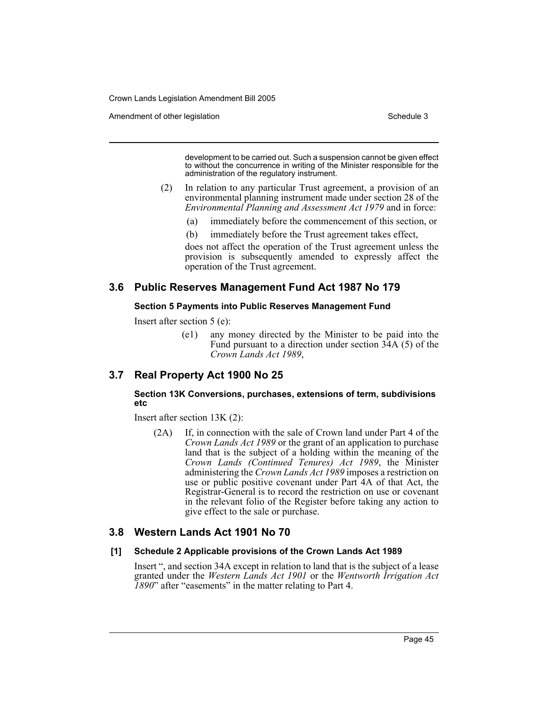Amendment of other legislation Schedule 3

development to be carried out. Such a suspension cannot be given effect to without the concurrence in writing of the Minister responsible for the administration of the regulatory instrument.

- (2) In relation to any particular Trust agreement, a provision of an environmental planning instrument made under section 28 of the *Environmental Planning and Assessment Act 1979* and in force:
	- (a) immediately before the commencement of this section, or
	- (b) immediately before the Trust agreement takes effect,

does not affect the operation of the Trust agreement unless the provision is subsequently amended to expressly affect the operation of the Trust agreement.

# **3.6 Public Reserves Management Fund Act 1987 No 179**

#### **Section 5 Payments into Public Reserves Management Fund**

Insert after section 5 (e):

(e1) any money directed by the Minister to be paid into the Fund pursuant to a direction under section 34A (5) of the *Crown Lands Act 1989*,

# **3.7 Real Property Act 1900 No 25**

#### **Section 13K Conversions, purchases, extensions of term, subdivisions etc**

Insert after section 13K (2):

(2A) If, in connection with the sale of Crown land under Part 4 of the *Crown Lands Act 1989* or the grant of an application to purchase land that is the subject of a holding within the meaning of the *Crown Lands (Continued Tenures) Act 1989*, the Minister administering the *Crown Lands Act 1989* imposes a restriction on use or public positive covenant under Part 4A of that Act, the Registrar-General is to record the restriction on use or covenant in the relevant folio of the Register before taking any action to give effect to the sale or purchase.

# **3.8 Western Lands Act 1901 No 70**

#### **[1] Schedule 2 Applicable provisions of the Crown Lands Act 1989**

Insert ", and section 34A except in relation to land that is the subject of a lease granted under the *Western Lands Act 1901* or the *Wentworth Irrigation Act 1890*" after "easements" in the matter relating to Part 4.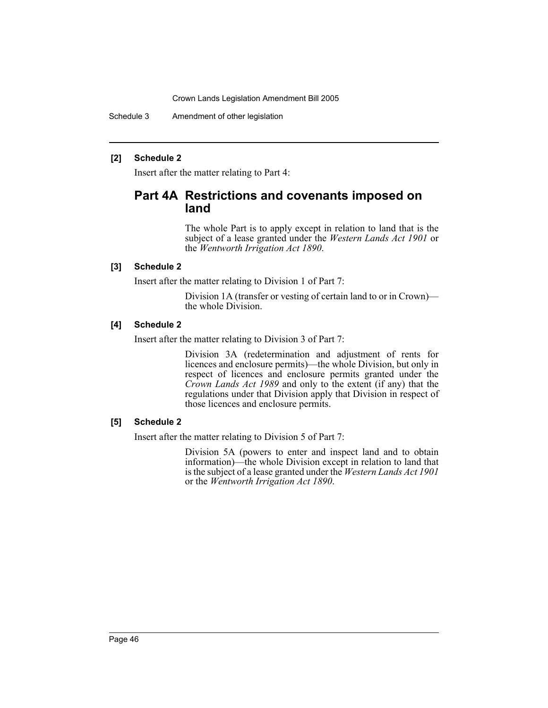Schedule 3 Amendment of other legislation

### **[2] Schedule 2**

Insert after the matter relating to Part 4:

# **Part 4A Restrictions and covenants imposed on land**

The whole Part is to apply except in relation to land that is the subject of a lease granted under the *Western Lands Act 1901* or the *Wentworth Irrigation Act 1890*.

### **[3] Schedule 2**

Insert after the matter relating to Division 1 of Part 7:

Division 1A (transfer or vesting of certain land to or in Crown) the whole Division.

# **[4] Schedule 2**

Insert after the matter relating to Division 3 of Part 7:

Division 3A (redetermination and adjustment of rents for licences and enclosure permits)—the whole Division, but only in respect of licences and enclosure permits granted under the *Crown Lands Act 1989* and only to the extent (if any) that the regulations under that Division apply that Division in respect of those licences and enclosure permits.

#### **[5] Schedule 2**

Insert after the matter relating to Division 5 of Part 7:

Division 5A (powers to enter and inspect land and to obtain information)—the whole Division except in relation to land that is the subject of a lease granted under the *Western Lands Act 1901* or the *Wentworth Irrigation Act 1890*.